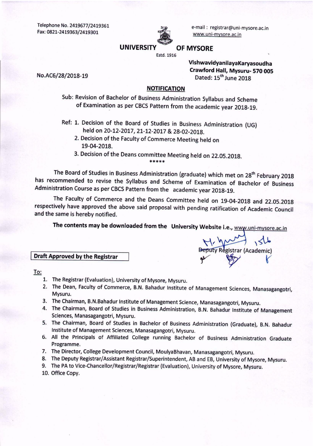Telephone No. 2419677/2419361 Fax: 0821-2419363/2419301



e-mail: registrar@uni-mysore.ac.in www.uni-mysore.ac.in

#### **OF MYSORE**

Estd. 1916

VishwavidyanilayaKaryasoudha Crawford Hall, Mysuru- 570 005 Dated: 15<sup>th</sup> June 2018

**Juty Registrar (Academic)** 

No.AC6/28/2018-19

#### **NOTIFICATION**

Sub: Revision of Bachelor of Business Administration Syllabus and Scheme of Examination as per CBCS Pattern from the academic year 2018-19.

- Ref: 1. Decision of the Board of Studies in Business Administration (UG) held on 20-12-2017, 21-12-2017 & 28-02-2018.
	- 2. Decision of the Faculty of Commerce Meeting held on 19-04-2018.
	- 3. Decision of the Deans committee Meeting held on 22.05.2018. \*\*\*\*\*

The Board of Studies in Business Administration (graduate) which met on 28<sup>th</sup> February 2018 has recommended to revise the Syllabus and Scheme of Examination of Bachelor of Business Administration Course as per CBCS Pattern from the academic year 2018-19.

The Faculty of Commerce and the Deans Committee held on 19-04-2018 and 22.05.2018 respectively have approved the above said proposal with pending ratification of Academic Council and the same is hereby notified.

The contents may be downloaded from the University Website i.e., www.uni-mysore.ac.in

#### **Draft Approved by the Registrar**

To:

- 1. The Registrar (Evaluation), University of Mysore, Mysuru.
- 2. The Dean, Faculty of Commerce, B.N. Bahadur Institute of Management Sciences, Manasagangotri, Mysuru.
- 3. The Chairman, B.N.Bahadur Institute of Management Science, Manasagangotri, Mysuru.
- 4. The Chairman, Board of Studies in Business Administration, B.N. Bahadur Institute of Management Sciences, Manasagangotri, Mysuru.
- 5. The Chairman, Board of Studies in Bachelor of Business Administration (Graduate), B.N. Bahadur Institute of Management Sciences, Manasagangotri, Mysuru.
- 6. All the Principals of Affiliated College running Bachelor of Business Administration Graduate Programme.
- 7. The Director, College Development Council, MoulyaBhavan, Manasagangotri, Mysuru.
- 8. The Deputy Registrar/Assistant Registrar/Superintendent, AB and EB, University of Mysore, Mysuru.
- 9. The PA to Vice-Chancellor/Registrar/Registrar (Evaluation), University of Mysore, Mysuru.
- 10. Office Copy.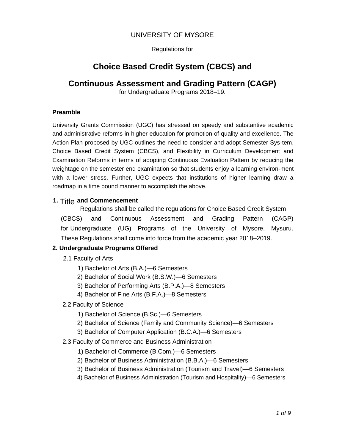# UNIVERSITY OF MYSORE

Regulations for

# **Choice Based Credit System (CBCS) and**

# **Continuous Assessment and Grading Pattern (CAGP)**

for Undergraduate Programs 2018–19.

### **Preamble**

University Grants Commission (UGC) has stressed on speedy and substantive academic and administrative reforms in higher education for promotion of quality and excellence. The Action Plan proposed by UGC outlines the need to consider and adopt Semester Sys-tem, Choice Based Credit System (CBCS), and Flexibility in Curriculum Development and Examination Reforms in terms of adopting Continuous Evaluation Pattern by reducing the weightage on the semester end examination so that students enjoy a learning environ-ment with a lower stress. Further, UGC expects that institutions of higher learning draw a roadmap in a time bound manner to accomplish the above.

#### **1.** Title **and Commencement**

Regulations shall be called the regulations for Choice Based Credit System (CBCS) and Continuous Assessment and Grading Pattern (CAGP) for Undergraduate (UG) Programs of the University of Mysore, Mysuru. These Regulations shall come into force from the academic year 2018–2019.

# **2. Undergraduate Programs Offered**

- 2.1 Faculty of Arts
	- 1) Bachelor of Arts (B.A.)—6 Semesters
	- 2) Bachelor of Social Work (B.S.W.)—6 Semesters
	- 3) Bachelor of Performing Arts (B.P.A.)—8 Semesters
	- 4) Bachelor of Fine Arts (B.F.A.)—8 Semesters
- 2.2 Faculty of Science
	- 1) Bachelor of Science (B.Sc.)—6 Semesters
	- 2) Bachelor of Science (Family and Community Science)—6 Semesters
	- 3) Bachelor of Computer Application (B.C.A.)—6 Semesters
- 2.3 Faculty of Commerce and Business Administration
	- 1) Bachelor of Commerce (B.Com.)—6 Semesters
	- 2) Bachelor of Business Administration (B.B.A.)—6 Semesters
	- 3) Bachelor of Business Administration (Tourism and Travel)—6 Semesters
	- 4) Bachelor of Business Administration (Tourism and Hospitality)—6 Semesters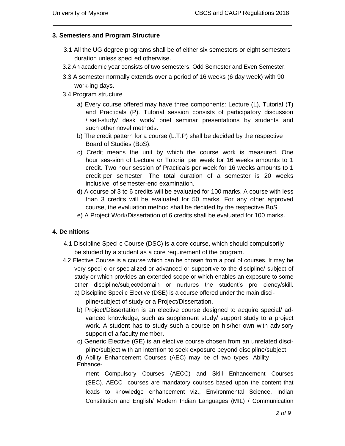#### **3. Semesters and Program Structure**

- 3.1 All the UG degree programs shall be of either six semesters or eight semesters duration unless speci ed otherwise.
- 3.2 An academic year consists of two semesters: Odd Semester and Even Semester.
- 3.3 A semester normally extends over a period of 16 weeks (6 day week) with 90 work-ing days.
- 3.4 Program structure
	- a) Every course offered may have three components: Lecture (L), Tutorial (T) and Practicals (P). Tutorial session consists of participatory discussion / self-study/ desk work/ brief seminar presentations by students and such other novel methods.
	- b) The credit pattern for a course (L:T:P) shall be decided by the respective Board of Studies (BoS).
	- c) Credit means the unit by which the course work is measured. One hour ses-sion of Lecture or Tutorial per week for 16 weeks amounts to 1 credit. Two hour session of Practicals per week for 16 weeks amounts to 1 credit per semester. The total duration of a semester is 20 weeks inclusive of semester-end examination.
	- d) A course of 3 to 6 credits will be evaluated for 100 marks. A course with less than 3 credits will be evaluated for 50 marks. For any other approved course, the evaluation method shall be decided by the respective BoS.
	- e) A Project Work/Dissertation of 6 credits shall be evaluated for 100 marks.

#### **4. De nitions**

- 4.1 Discipline Speci c Course (DSC) is a core course, which should compulsorily be studied by a student as a core requirement of the program.
- 4.2 Elective Course is a course which can be chosen from a pool of courses. It may be very speci c or specialized or advanced or supportive to the discipline/ subject of study or which provides an extended scope or which enables an exposure to some other discipline/subject/domain or nurtures the student's pro ciency/skill.
	- a) Discipline Speci c Elective (DSE) is a course offered under the main discipline/subject of study or a Project/Dissertation.
	- b) Project/Dissertation is an elective course designed to acquire special/ advanced knowledge, such as supplement study/ support study to a project work. A student has to study such a course on his/her own with advisory support of a faculty member.
	- c) Generic Elective (GE) is an elective course chosen from an unrelated discipline/subject with an intention to seek exposure beyond discipline/subject.

d) Ability Enhancement Courses (AEC) may be of two types: Ability Enhance-

ment Compulsory Courses (AECC) and Skill Enhancement Courses (SEC). AECC courses are mandatory courses based upon the content that leads to knowledge enhancement viz., Environmental Science, Indian Constitution and English/ Modern Indian Languages (MIL) / Communication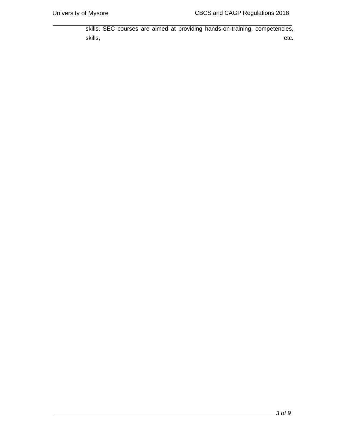skills. SEC courses are aimed at providing hands-on-training, competencies, skills, etc. etc. etc. etc. etc. etc.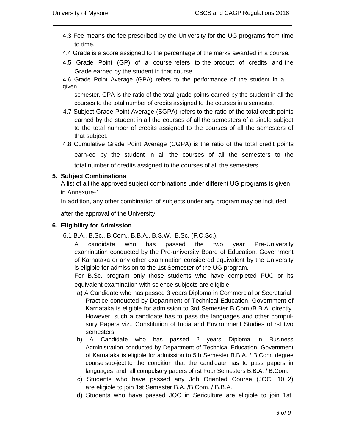- 4.3 Fee means the fee prescribed by the University for the UG programs from time to time.
- 4.4 Grade is a score assigned to the percentage of the marks awarded in a course.
- 4.5 Grade Point (GP) of a course refers to the product of credits and the Grade earned by the student in that course.

4.6 Grade Point Average (GPA) refers to the performance of the student in a given

semester. GPA is the ratio of the total grade points earned by the student in all the courses to the total number of credits assigned to the courses in a semester.

- 4.7 Subject Grade Point Average (SGPA) refers to the ratio of the total credit points earned by the student in all the courses of all the semesters of a single subject to the total number of credits assigned to the courses of all the semesters of that subject.
- 4.8 Cumulative Grade Point Average (CGPA) is the ratio of the total credit points earn-ed by the student in all the courses of all the semesters to the total number of credits assigned to the courses of all the semesters.

#### **5. Subject Combinations**

A list of all the approved subject combinations under different UG programs is given in Annexure-1.

In addition, any other combination of subjects under any program may be included

after the approval of the University.

# **6. Eligibility for Admission**

- 6.1 B.A., B.Sc., B.Com., B.B.A., B.S.W., B.Sc. (F.C.Sc.).
	- A candidate who has passed the two year Pre-University examination conducted by the Pre-university Board of Education, Government of Karnataka or any other examination considered equivalent by the University is eligible for admission to the 1st Semester of the UG program.

For B.Sc. program only those students who have completed PUC or its equivalent examination with science subjects are eligible.

- a) A Candidate who has passed 3 years Diploma in Commercial or Secretarial Practice conducted by Department of Technical Education, Government of Karnataka is eligible for admission to 3rd Semester B.Com./B.B.A. directly. However, such a candidate has to pass the languages and other compulsory Papers viz., Constitution of India and Environment Studies of rst two semesters.
- b) A Candidate who has passed 2 years Diploma in Business Administration conducted by Department of Technical Education. Government of Karnataka is eligible for admission to 5th Semester B.B.A. / B.Com. degree course sub-ject to the condition that the candidate has to pass papers in languages and all compulsory papers of rst Four Semesters B.B.A. / B.Com.
- c) Students who have passed any Job Oriented Course (JOC, 10+2) are eligible to join 1st Semester B.A. /B.Com. / B.B.A.
- d) Students who have passed JOC in Sericulture are eligible to join 1st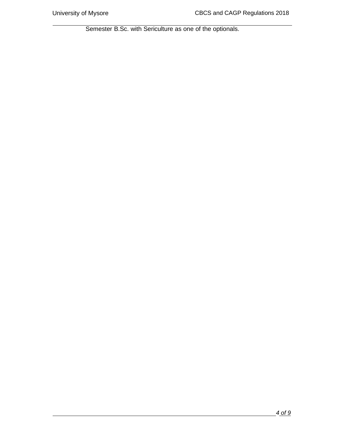Semester B.Sc. with Sericulture as one of the optionals.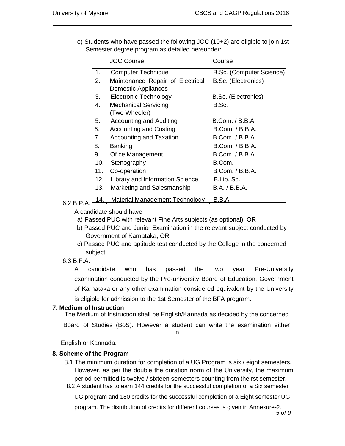|            |             | <b>JOC Course</b>                                       | Course                   |
|------------|-------------|---------------------------------------------------------|--------------------------|
|            | 1.          | <b>Computer Technique</b>                               | B.Sc. (Computer Science) |
|            | 2.          | Maintenance Repair of Electrical<br>Domestic Appliances | B.Sc. (Electronics)      |
|            | 3.          | <b>Electronic Technology</b>                            | B.Sc. (Electronics)      |
|            | 4.          | <b>Mechanical Servicing</b><br>(Two Wheeler)            | B.Sc.                    |
|            | 5.          | <b>Accounting and Auditing</b>                          | <b>B.Com. / B.B.A.</b>   |
|            | 6.          | <b>Accounting and Costing</b>                           | <b>B.Com. / B.B.A.</b>   |
|            | $7_{\cdot}$ | <b>Accounting and Taxation</b>                          | B.Com. / B.B.A.          |
|            | 8.          | <b>Banking</b>                                          | B.Com. / B.B.A.          |
|            | 9.          | Of ce Management                                        | <b>B.Com. / B.B.A.</b>   |
|            | 10.         | Stenography                                             | B.Com.                   |
|            | 11.         | Co-operation                                            | B.Com. / B.B.A.          |
|            | 12.         | Library and Information Science                         | B.Lib. Sc.               |
|            | 13.         | Marketing and Salesmanship                              | B.A. / B.B.A.            |
| 6.2 B.P.A. | 4.          | <b>Material Management Technology</b>                   | <u>B.B.A.</u>            |
|            |             |                                                         |                          |

e) Students who have passed the following JOC (10+2) are eligible to join 1st Semester degree program as detailed hereunder:

A candidate should have

a) Passed PUC with relevant Fine Arts subjects (as optional), OR

- b) Passed PUC and Junior Examination in the relevant subject conducted by Government of Karnataka, OR
- c) Passed PUC and aptitude test conducted by the College in the concerned subject.
- 6.3 B.F.A.

A candidate who has passed the two year Pre-University examination conducted by the Pre-university Board of Education, Government of Karnataka or any other examination considered equivalent by the University is eligible for admission to the 1st Semester of the BFA program.

# **7. Medium of Instruction**

The Medium of Instruction shall be English/Kannada as decided by the concerned

Board of Studies (BoS). However a student can write the examination either in

English or Kannada.

# **8. Scheme of the Program**

- 8.1 The minimum duration for completion of a UG Program is six / eight semesters. However, as per the double the duration norm of the University, the maximum period permitted is twelve / sixteen semesters counting from the rst semester.
- 8.2 A student has to earn 144 credits for the successful completion of a Six semester

UG program and 180 credits for the successful completion of a Eight semester UG

*5* **of 9** program. The distribution of credits for different courses is given in Annexure-2.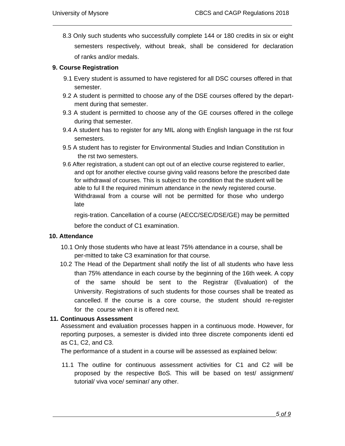8.3 Only such students who successfully complete 144 or 180 credits in six or eight semesters respectively, without break, shall be considered for declaration of ranks and/or medals.

#### **9. Course Registration**

- 9.1 Every student is assumed to have registered for all DSC courses offered in that semester.
- 9.2 A student is permitted to choose any of the DSE courses offered by the department during that semester.
- 9.3 A student is permitted to choose any of the GE courses offered in the college during that semester.
- 9.4 A student has to register for any MIL along with English language in the rst four semesters.
- 9.5 A student has to register for Environmental Studies and Indian Constitution in the rst two semesters.
- 9.6 After registration, a student can opt out of an elective course registered to earlier, and opt for another elective course giving valid reasons before the prescribed date for withdrawal of courses. This is subject to the condition that the student will be able to ful ll the required minimum attendance in the newly registered course. Withdrawal from a course will not be permitted for those who undergo late

regis-tration. Cancellation of a course (AECC/SEC/DSE/GE) may be permitted before the conduct of C1 examination.

#### **10. Attendance**

- 10.1 Only those students who have at least 75% attendance in a course, shall be per-mitted to take C3 examination for that course.
- 10.2 The Head of the Department shall notify the list of all students who have less than 75% attendance in each course by the beginning of the 16th week. A copy of the same should be sent to the Registrar (Evaluation) of the University. Registrations of such students for those courses shall be treated as cancelled. If the course is a core course, the student should re-register for the course when it is offered next.

# **11. Continuous Assessment**

Assessment and evaluation processes happen in a continuous mode. However, for reporting purposes, a semester is divided into three discrete components identi ed as C1, C2, and C3.

The performance of a student in a course will be assessed as explained below:

11.1 The outline for continuous assessment activities for C1 and C2 will be proposed by the respective BoS. This will be based on test/ assignment/ tutorial/ viva voce/ seminar/ any other.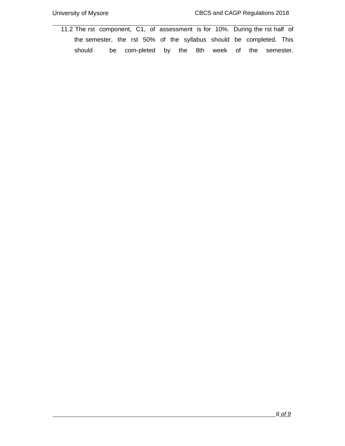11.2 The rst component, C1, of assessment is for 10%. During the rst half of the semester, the rst 50% of the syllabus should be completed. This should be com-pleted by the 8th week of the semester.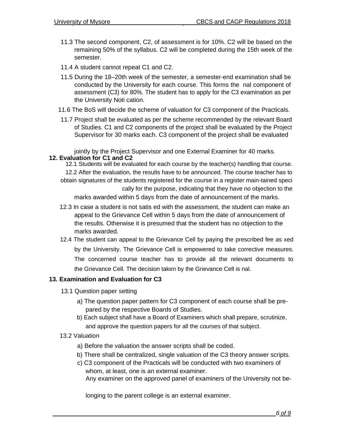- 11.3 The second component, C2, of assessment is for 10%. C2 will be based on the remaining 50% of the syllabus. C2 will be completed during the 15th week of the semester.
- 11.4 A student cannot repeat C1 and C2.
- 11.5 During the 18–20th week of the semester, a semester-end examination shall be conducted by the University for each course. This forms the nal component of assessment (C3) for 80%. The student has to apply for the C3 examination as per the University Noti cation.
- 11.6 The BoS will decide the scheme of valuation for C3 component of the Practicals.
- 11.7 Project shall be evaluated as per the scheme recommended by the relevant Board of Studies. C1 and C2 components of the project shall be evaluated by the Project Supervisor for 30 marks each. C3 component of the project shall be evaluated

jointly by the Project Supervisor and one External Examiner for 40 marks. **12. Evaluation for C1 and C2**

12.1 Students will be evaluated for each course by the teacher(s) handling that course. 12.2 After the evaluation, the results have to be announced. The course teacher has to obtain signatures of the students registered for the course in a register main-tained speci cally for the purpose, indicating that they have no objection to the marks awarded within 5 days from the date of announcement of the marks.

- 12.3 In case a student is not satis ed with the assessment, the student can make an appeal to the Grievance Cell within 5 days from the date of announcement of the results. Otherwise it is presumed that the student has no objection to the marks awarded.
- 12.4 The student can appeal to the Grievance Cell by paying the prescribed fee as xed by the University. The Grievance Cell is empowered to take corrective measures. The concerned course teacher has to provide all the relevant documents to the Grievance Cell. The decision taken by the Grievance Cell is nal.

#### **13. Examination and Evaluation for C3**

- 13.1 Question paper setting
	- a) The question paper pattern for C3 component of each course shall be prepared by the respective Boards of Studies.
	- b) Each subject shall have a Board of Examiners which shall prepare, scrutinize, and approve the question papers for all the courses of that subject.
- 13.2 Valuation
	- a) Before the valuation the answer scripts shall be coded.
	- b) There shall be centralized, single valuation of the C3 theory answer scripts.
	- c) C3 component of the Practicals will be conducted with two examiners of whom, at least, one is an external examiner. Any examiner on the approved panel of examiners of the University not be-

longing to the parent college is an external examiner.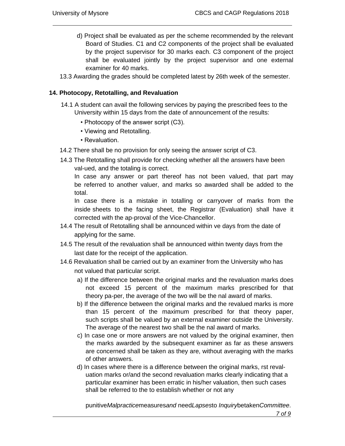- d) Project shall be evaluated as per the scheme recommended by the relevant Board of Studies. C1 and C2 components of the project shall be evaluated by the project supervisor for 30 marks each. C3 component of the project shall be evaluated jointly by the project supervisor and one external examiner for 40 marks.
- 13.3 Awarding the grades should be completed latest by 26th week of the semester.

#### **14. Photocopy, Retotalling, and Revaluation**

- 14.1 A student can avail the following services by paying the prescribed fees to the University within 15 days from the date of announcement of the results:
	- Photocopy of the answer script (C3).
	- Viewing and Retotalling.
	- Revaluation.
- 14.2 There shall be no provision for only seeing the answer script of C3.
- 14.3 The Retotalling shall provide for checking whether all the answers have been val-ued, and the totaling is correct.

In case any answer or part thereof has not been valued, that part may be referred to another valuer, and marks so awarded shall be added to the total.

In case there is a mistake in totalling or carryover of marks from the inside sheets to the facing sheet, the Registrar (Evaluation) shall have it corrected with the ap-proval of the Vice-Chancellor.

- 14.4 The result of Retotalling shall be announced within ve days from the date of applying for the same.
- 14.5 The result of the revaluation shall be announced within twenty days from the last date for the receipt of the application.
- 14.6 Revaluation shall be carried out by an examiner from the University who has not valued that particular script.
	- a) If the difference between the original marks and the revaluation marks does not exceed 15 percent of the maximum marks prescribed for that theory pa-per, the average of the two will be the nal award of marks.
	- b) If the difference between the original marks and the revalued marks is more than 15 percent of the maximum prescribed for that theory paper, such scripts shall be valued by an external examiner outside the University. The average of the nearest two shall be the nal award of marks.
	- c) In case one or more answers are not valued by the original examiner, then the marks awarded by the subsequent examiner as far as these answers are concerned shall be taken as they are, without averaging with the marks of other answers.
	- d) In cases where there is a difference between the original marks, rst revaluation marks or/and the second revaluation marks clearly indicating that a particular examiner has been erratic in his/her valuation, then such cases shall be referred to the to establish whether or not any

punitive*Malpractice*measures*and* need*Lapses*to *Inquiry*betaken*Committee*.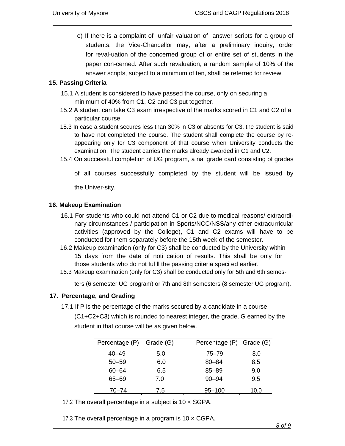e) If there is a complaint of unfair valuation of answer scripts for a group of students, the Vice-Chancellor may, after a preliminary inquiry, order for reval-uation of the concerned group of or entire set of students in the paper con-cerned. After such revaluation, a random sample of 10% of the answer scripts, subject to a minimum of ten, shall be referred for review.

#### **15. Passing Criteria**

- 15.1 A student is considered to have passed the course, only on securing a minimum of 40% from C1, C2 and C3 put together.
- 15.2 A student can take C3 exam irrespective of the marks scored in C1 and C2 of a particular course.
- 15.3 In case a student secures less than 30% in C3 or absents for C3, the student is said to have not completed the course. The student shall complete the course by reappearing only for C3 component of that course when University conducts the examination. The student carries the marks already awarded in C1 and C2.
- 15.4 On successful completion of UG program, a nal grade card consisting of grades
	- of all courses successfully completed by the student will be issued by

the Univer-sity.

#### **16. Makeup Examination**

- 16.1 For students who could not attend C1 or C2 due to medical reasons/ extraordinary circumstances / participation in Sports/NCC/NSS/any other extracurricular activities (approved by the College), C1 and C2 exams will have to be conducted for them separately before the 15th week of the semester.
- 16.2 Makeup examination (only for C3) shall be conducted by the University within 15 days from the date of noti cation of results. This shall be only for those students who do not ful ll the passing criteria speci ed earlier.
- 16.3 Makeup examination (only for C3) shall be conducted only for 5th and 6th semes-

ters (6 semester UG program) or 7th and 8th semesters (8 semester UG program).

#### **17. Percentage, and Grading**

17.1 If P is the percentage of the marks secured by a candidate in a course (C1+C2+C3) which is rounded to nearest integer, the grade, G earned by the student in that course will be as given below.

| Percentage (P) Grade (G) |     | Percentage (P) Grade (G) |      |
|--------------------------|-----|--------------------------|------|
| $40 - 49$                | 5.0 | 75–79                    | 8.0  |
| $50 - 59$                | 6.0 | $80 - 84$                | 8.5  |
| 60-64                    | 6.5 | $85 - 89$                | 9.0  |
| 65–69                    | 7.0 | $90 - 94$                | 9.5  |
| $70 - 74$                | 7.5 | 95-100                   | 10.0 |

17.2 The overall percentage in a subject is  $10 \times$  SGPA.

17.3 The overall percentage in a program is  $10 \times CGPA$ .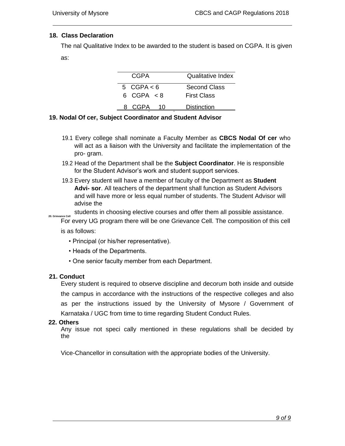#### **18. Class Declaration**

The nal Qualitative Index to be awarded to the student is based on CGPA. It is given as:

| CGPA         | Qualitative Index  |  |  |
|--------------|--------------------|--|--|
| 5 $CGPA < 6$ | Second Class       |  |  |
| 6 $CGPA < 8$ | <b>First Class</b> |  |  |
| CGPA         | Distinction        |  |  |

#### **19. Nodal Of cer, Subject Coordinator and Student Advisor**

- 19.1 Every college shall nominate a Faculty Member as **CBCS Nodal Of cer** who will act as a liaison with the University and facilitate the implementation of the pro- gram.
- 19.2 Head of the Department shall be the **Subject Coordinator**. He is responsible for the Student Advisor's work and student support services.
- 19.3 Every student will have a member of faculty of the Department as **Student Advi- sor**. All teachers of the department shall function as Student Advisors and will have more or less equal number of students. The Student Advisor will advise the

students in choosing elective courses and offer them all possible assistance.

**20. Grievance Cell** For every UG program there will be one Grievance Cell. The composition of this cell

is as follows:

- Principal (or his/her representative).
- Heads of the Departments.
- One senior faculty member from each Department.

#### **21. Conduct**

Every student is required to observe discipline and decorum both inside and outside the campus in accordance with the instructions of the respective colleges and also as per the instructions issued by the University of Mysore / Government of Karnataka / UGC from time to time regarding Student Conduct Rules.

#### **22. Others**

Any issue not speci cally mentioned in these regulations shall be decided by the

Vice-Chancellor in consultation with the appropriate bodies of the University.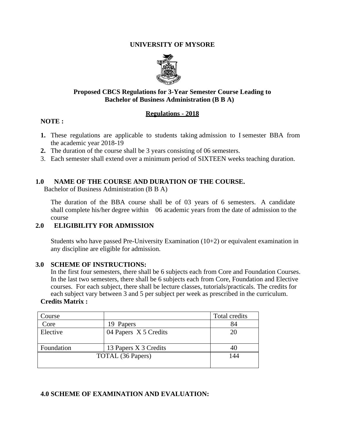#### **UNIVERSITY OF MYSORE**



#### **Proposed CBCS Regulations for 3-Year Semester Course Leading to Bachelor of Business Administration (B B A)**

#### **Regulations - 2018**

#### **NOTE :**

- **1.** These regulations are applicable to students taking admission to I semester BBA from the academic year 2018-19
- **2.** The duration of the course shall be 3 years consisting of 06 semesters.
- 3. Each semester shall extend over a minimum period of SIXTEEN weeks teaching duration.

#### **1.0 NAME OF THE COURSE AND DURATION OF THE COURSE.**

Bachelor of Business Administration (B B A)

The duration of the BBA course shall be of 03 years of 6 semesters. A candidate shall complete his/her degree within 06 academic years from the date of admission to the course

# **2.0 ELIGIBILITY FOR ADMISSION**

Students who have passed Pre-University Examination (10+2) or equivalent examination in any discipline are eligible for admission.

#### **3.0 SCHEME OF INSTRUCTIONS:**

In the first four semesters, there shall be 6 subjects each from Core and Foundation Courses. In the last two semesters, there shall be 6 subjects each from Core, Foundation and Elective courses. For each subject, there shall be lecture classes, tutorials/practicals. The credits for each subject vary between 3 and 5 per subject per week as prescribed in the curriculum.

#### **Credits Matrix :**

| Course     |                       | Total credits |
|------------|-----------------------|---------------|
| Core       | 19 Papers             | 84            |
| Elective   | 04 Papers X 5 Credits | 20            |
|            |                       |               |
| Foundation | 13 Papers X 3 Credits | 40            |
|            | TOTAL (36 Papers)     | 144           |
|            |                       |               |

# **4.0 SCHEME OF EXAMINATION AND EVALUATION:**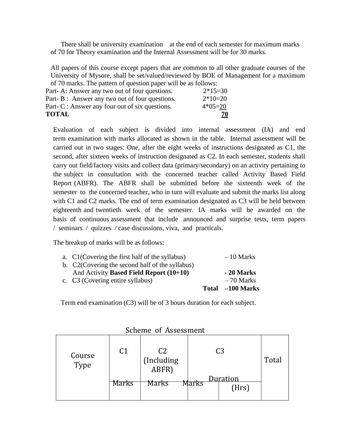There shall be university examination at the end of each semester for maximum marks of 70 for Theory examination and the Internal Assessment will be for 30 marks.

All papers of this course except papers that are common to all other graduate courses of the University of Mysore, shall be set/valued/reviewed by BOE of Management for a maximum of 70 marks. The pattern of question paper will be as follows:

| <b>TOTAL</b>                                    | <u>70</u> |
|-------------------------------------------------|-----------|
| Part- C : Answer any four out of six questions. | $4*05=20$ |
| Part-B: Answer any two out of four questions.   | $2*10=20$ |
| Part- A: Answer any two out of four questions.  | $2*15=30$ |
|                                                 |           |

Evaluation of each subject is divided into internal assessment (IA) and end term examination with marks allocated as shown in the table. Internal assessment will be carried out in two stages: One, after the eight weeks of instructions designated as C1, the second, after sixteen weeks of instruction designated as C2. In each semester, students shall carry out field/factory visits and collect data (primary/secondary) on an activity pertaining to the subject in consultation with the concerned teacher called Activity Based Field Report (ABFR). The ABFR shall be submitted before the sixteenth week of the semester to the concerned teacher, who in turn will evaluate and submit the marks list along with C1 and C2 marks. The end of term examination designated as C3 will be held between eighteenth and twentieth week of the semester. IA marks will be awarded on the basis of continuous assessment that include announced and surprise tests, term papers / seminars / quizzes / case discussions, viva, and practicals.

The breakup of marks will be as follows:

|                                                 | Total -100 Marks |
|-------------------------------------------------|------------------|
| c. C3 (Covering entire syllabus)                | $-70$ Marks      |
| And Activity Based Field Report (10+10)         | - 20 Marks       |
| b. C2(Covering the second half of the syllabus) |                  |
| a. C1(Covering the first half of the syllabus)  | $-10$ Marks      |

Term end examination (C3) will be of 3 hours duration for each subject.

| Course<br>Type | C <sub>1</sub> | C <sub>2</sub><br>(Including<br>ABFR) |       | C3                       | Total |
|----------------|----------------|---------------------------------------|-------|--------------------------|-------|
|                | Marks          | Marks                                 | Marks | <b>Quration</b><br>(Hrs) |       |

Scheme of Assessment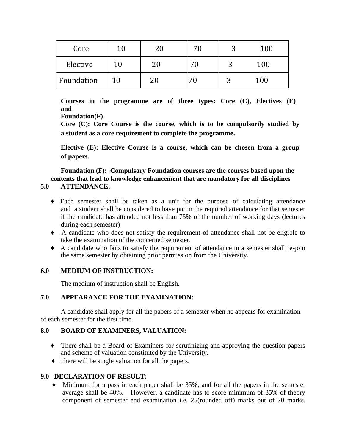| Core       | ົ  | 76 |      |
|------------|----|----|------|
| Elective   | 20 | 70 | LIOC |
| Foundation | 20 |    |      |

**Courses in the programme are of three types: Core (C), Electives (E) and**

# **Foundation(F)**

**Core (C): Core Course is the course, which is to be compulsorily studied by a student as a core requirement to complete the programme.**

**Elective (E): Elective Course is a course, which can be chosen from a group of papers.**

**Foundation (F): Compulsory Foundation courses are the courses based upon the contents that lead to knowledge enhancement that are mandatory for all disciplines**

# **5.0 ATTENDANCE:**

- ♦ Each semester shall be taken as a unit for the purpose of calculating attendance and a student shall be considered to have put in the required attendance for that semester if the candidate has attended not less than 75% of the number of working days (lectures during each semester)
- ♦ A candidate who does not satisfy the requirement of attendance shall not be eligible to take the examination of the concerned semester.
- ♦ A candidate who fails to satisfy the requirement of attendance in a semester shall re-join the same semester by obtaining prior permission from the University.

# **6.0 MEDIUM OF INSTRUCTION:**

The medium of instruction shall be English.

# **7.0 APPEARANCE FOR THE EXAMINATION:**

A candidate shall apply for all the papers of a semester when he appears for examination of each semester for the first time.

# **8.0 BOARD OF EXAMINERS, VALUATION:**

- ♦ There shall be a Board of Examiners for scrutinizing and approving the question papers and scheme of valuation constituted by the University.
- ♦ There will be single valuation for all the papers.

# **9.0 DECLARATION OF RESULT:**

♦ Minimum for a pass in each paper shall be 35%, and for all the papers in the semester average shall be 40%. However, a candidate has to score minimum of 35% of theory component of semester end examination i.e. 25(rounded off) marks out of 70 marks.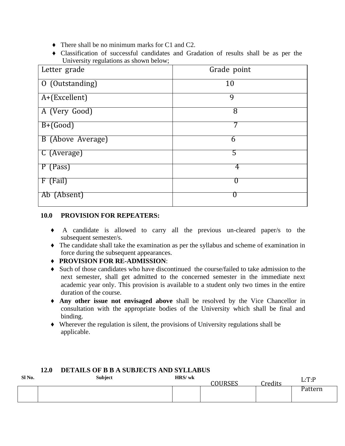- ♦ There shall be no minimum marks for C1 and C2.
- ♦ Classification of successful candidates and Gradation of results shall be as per the University regulations as shown below;

| Letter grade             | Grade point |
|--------------------------|-------------|
| 0 (Outstanding)          | 10          |
| A+(Excellent)            | 9           |
| A (Very Good)            | 8           |
| $\overline{B+(Good)}$    | 7           |
| <b>B</b> (Above Average) | 6           |
| C (Average)              | 5           |
| P (Pass)                 | 4           |
| F (Fail)                 |             |
| Ab (Absent)              | U           |

#### **10.0 PROVISION FOR REPEATERS:**

- ♦ A candidate is allowed to carry all the previous un-cleared paper/s to the subsequent semester/s.
- ♦ The candidate shall take the examination as per the syllabus and scheme of examination in force during the subsequent appearances.
- ♦ **PROVISION FOR RE-ADMISSION**:
- ♦ Such of those candidates who have discontinued the course/failed to take admission to the next semester, shall get admitted to the concerned semester in the immediate next academic year only. This provision is available to a student only two times in the entire duration of the course.
- ♦ **Any other issue not envisaged above** shall be resolved by the Vice Chancellor in consultation with the appropriate bodies of the University which shall be final and binding.
- ♦ Wherever the regulation is silent, the provisions of University regulations shall be applicable.

| 14.V<br>DETAILS OF B B A SUBJECTS AND SYLLABUS |  |                |        |               |         |         |
|------------------------------------------------|--|----------------|--------|---------------|---------|---------|
| SI <sub>No.</sub>                              |  | <b>Subject</b> | HRS/wk | <b>OURSES</b> | Credits | L: T:P  |
|                                                |  |                |        |               |         | Pattern |
|                                                |  |                |        |               |         |         |

# **12.0 DETAILS OF B B A SUBJECTS AND SYLLABUS**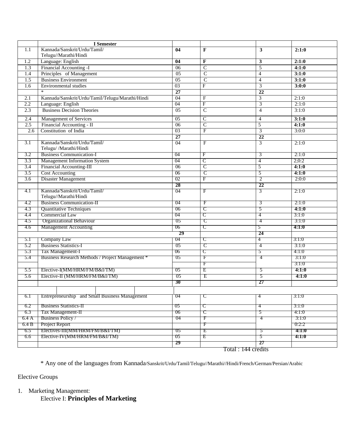|                  | <b>I</b> Semester                                     |                 |                         |                    |       |
|------------------|-------------------------------------------------------|-----------------|-------------------------|--------------------|-------|
| 1.1              | Kannada/Sanskrit/Urdu/Tamil/<br>Telugu//Marathi/Hindi | 04              | $\mathbf{F}$            | 3                  | 2:1:0 |
| 1.2              | Language: English                                     | 04              | F                       | 3                  | 2:1:0 |
| 1.3              | Financial Accounting -I                               | $\overline{06}$ | $\overline{C}$          | 5                  | 4:1:0 |
| 1.4              | Principles of Management                              | $\overline{05}$ | $\overline{C}$          | $\overline{4}$     | 3:1:0 |
| 1.5              | <b>Business Environment</b>                           | $\overline{05}$ | $\overline{C}$          | $\overline{4}$     | 3:1:0 |
| 1.6              | <b>Environmental studies</b>                          | $\overline{03}$ | $\overline{F}$          | 3                  | 3:0:0 |
|                  |                                                       | $\overline{27}$ |                         | $\overline{22}$    |       |
| 2.1              | Kannada/Sanskrit/Urdu/Tamil/Telugu/Marathi/Hindi      | 04              | $\overline{\mathrm{F}}$ | 3                  | 2:1:0 |
| 2.2              | Language: English                                     | 04              | $\overline{\mathrm{F}}$ | $\overline{3}$     | 2:1:0 |
| 2.3              | <b>Business Decision Theories</b>                     | $\overline{05}$ | $\overline{\mathsf{C}}$ | $\overline{4}$     | 3:1:0 |
| 2.4              | <b>Management of Services</b>                         | 05              | $\overline{C}$          | $\overline{4}$     | 3:1:0 |
| 2.5              | Financial Accounting - II                             | 06              | $\overline{C}$          | 5                  | 4:1:0 |
| 2.6              | Constitution of India                                 | $\overline{03}$ | $\overline{F}$          | 3                  | 3:0:0 |
|                  |                                                       | $\overline{27}$ |                         | $\overline{22}$    |       |
| $\overline{3.1}$ | Kannada/Sanskrit/Urdu/Tamil/<br>Telugu//Marathi/Hindi | $\overline{04}$ | $\overline{\mathrm{F}}$ | $\overline{3}$     | 2:1:0 |
| $\overline{3.2}$ | <b>Business Communication-I</b>                       | $\overline{04}$ | F                       | 3                  | 2:1:0 |
| $\overline{3.3}$ | <b>Management Information System</b>                  | $\overline{04}$ | $\overline{\mathsf{C}}$ | $\overline{4}$     | 2;0:2 |
| $\overline{3.4}$ | <b>Financial Accounting-III</b>                       | 06              | $\overline{\mathsf{C}}$ | 5                  | 4:1:0 |
| $\overline{3.5}$ | <b>Cost Accounting</b>                                | $\overline{06}$ | $\overline{\mathsf{C}}$ | 5                  | 4:1:0 |
| $\overline{3.6}$ | <b>Disaster Management</b>                            | 02              | $\overline{\mathrm{F}}$ | 2                  | 2:0:0 |
|                  |                                                       | $\overline{28}$ |                         | $\overline{22}$    |       |
| 4.1              | Kannada/Sanskrit/Urdu/Tamil/                          | $\overline{04}$ | F                       | $\overline{3}$     | 2:1:0 |
|                  | Telugu//Marathi/Hindi                                 |                 |                         |                    |       |
| 4.2              | <b>Business Communication-II</b>                      | 04              | F                       | 3                  | 2:1:0 |
| 4.3              | <b>Quantitative Techniques</b>                        | 06              | て                       | 5                  | 4:1:0 |
| 4.4              | <b>Commercial Law</b>                                 | 04              | $\overline{\text{C}}$   | 4                  | 3:1:0 |
| 4.5              | <b>Organizational Behaviour</b>                       | 05              | $\overline{\text{c}}$   | 4                  | 3:1:0 |
| 4.6              | <b>Management Accounting</b>                          | 06              | $\overline{\text{c}}$   | 5                  | 4:1:0 |
|                  |                                                       | 29              |                         | 24                 |       |
| 5.T              | <b>Company Law</b>                                    | 04              | C                       | 4                  | 3:1:0 |
| 5.2              | <b>Business Statistics-I</b>                          | 05              | $\overline{\text{c}}$   | 4                  | 3:1:0 |
| 5.3              | Tax Management-I                                      | 06              | $\overline{\text{C}}$   | 5                  | 4:1:0 |
| 5.4              | Business Research Methods / Project Management *      | 05              | F                       | 4                  | 3:1:0 |
|                  |                                                       |                 | F                       |                    | 3:1:0 |
| 5.5              | Elective-I(MM/HRM/FM/B&I/TM)                          | 05              | Ε                       | 5                  | 4:1:0 |
| 5.6              | Elective-II (MM/HRM/FM/B&I/TM)                        | 05              | Ε                       | $\overline{5}$     | 4:1:0 |
|                  |                                                       | 30              |                         | 27                 |       |
|                  |                                                       |                 |                         |                    |       |
| 6.1              | Entrepreneurship and Small Business Management        | 04              | U                       | 4                  | 3:1:0 |
| 6.2              | <b>Business Statistics-II</b>                         | 05              | て                       | 4                  | 3:1:0 |
| 6.3              | Tax Management-II                                     | $\overline{06}$ | $\overline{\mathbf{C}}$ | 5                  | 4:1:0 |
| 6.4A             | <b>Business Policy</b> /                              |                 | $\mathbb{F}$            | 4                  | 3:1:0 |
| 6.4 B            | Project Report                                        |                 | $\mathbb{F}$            |                    | 0:2:2 |
| 6.5              | Electives-III(MM/HRM/FM/B&I/TM)                       | 05              | E                       | 5                  | 4:1:0 |
| 6.6              | Elective-IV(MM/HRM/FM/B&I/TM)                         | 05              | E                       | 5                  | 4:1:0 |
|                  |                                                       | 29              |                         | 27                 |       |
|                  |                                                       |                 |                         | Total: 144 credits |       |

\* Any one of the languages from Kannada/Sanskrit/Urdu/Tamil/Telugu//Marathi//Hindi/French/German/Persian/Arabic

Elective Groups

1. Marketing Management:

Elective I: **Principles of Marketing**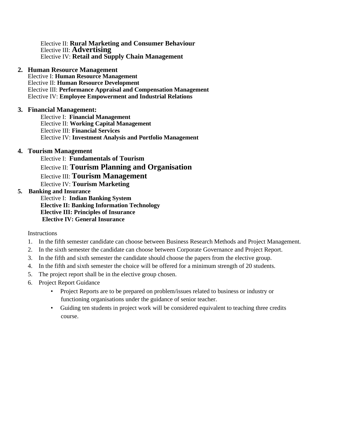Elective II: **Rural Marketing and Consumer Behaviour** Elective III: **Advertising** Elective IV: **Retail and Supply Chain Management**

#### **2. Human Resource Management**

Elective I: **Human Resource Management** Elective II: **Human Resource Development** Elective III: **Performance Appraisal and Compensation Management** Elective IV: **Employee Empowerment and Industrial Relations**

#### **3. Financial Management:**

Elective I: **Financial Management** Elective II: **Working Capital Management** Elective III: **Financial Services** Elective IV: **Investment Analysis and Portfolio Management**

#### **4. Tourism Management**

Elective I: **Fundamentals of Tourism** Elective II: **Tourism Planning and Organisation** Elective III: **Tourism Management** Elective IV: **Tourism Marketing**

#### **5. Banking and Insurance**

Elective I: **Indian Banking System Elective II: Banking Information Technology Elective III: Principles of Insurance Elective IV: General Insurance**

**Instructions** 

- 1. In the fifth semester candidate can choose between Business Research Methods and Project Management.
- 2. In the sixth semester the candidate can choose between Corporate Governance and Project Report.
- 3. In the fifth and sixth semester the candidate should choose the papers from the elective group.
- 4. In the fifth and sixth semester the choice will be offered for a minimum strength of 20 students.
- 5. The project report shall be in the elective group chosen.
- 6. Project Report Guidance
	- Project Reports are to be prepared on problem/issues related to business or industry or functioning organisations under the guidance of senior teacher.
	- Guiding ten students in project work will be considered equivalent to teaching three credits course.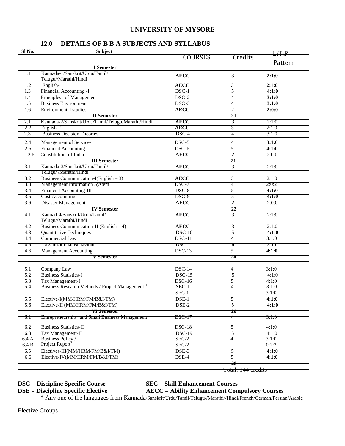#### **UNIVERSITY OF MYSORE**

# **12.0 DETAILS OF B B A SUBJECTS AND SYLLABUS**

| Sl No.           | Subject<br>1.1 P                                       |                |                    |         |  |
|------------------|--------------------------------------------------------|----------------|--------------------|---------|--|
|                  |                                                        | <b>COURSES</b> | Credits            |         |  |
|                  | <b>I</b> Semester                                      |                |                    | Pattern |  |
| 1.1              | Kannada-1/Sanskrit/Urdu/Tamil/                         |                |                    |         |  |
|                  | Telugu//Marathi/Hindi                                  | <b>AECC</b>    | $\mathbf{R}$       | 2:1:0   |  |
| 1.2              | English-1                                              | <b>AECC</b>    | 3                  | 2:1:0   |  |
| 1.3              | Financial Accounting -I                                | $DSC-1$        | $\overline{5}$     | 4:1:0   |  |
| 1.4              | Principles of Management                               | $DSC-2$        | $\overline{4}$     | 3:1:0   |  |
| 1.5              | <b>Business Environment</b>                            | $DSC-3$        | $\overline{4}$     | 3:1:0   |  |
| 1.6              | <b>Environmental</b> studies                           | <b>AECC</b>    | $\overline{2}$     | 2:0:0   |  |
|                  | <b>II</b> Semester                                     |                | $\overline{21}$    |         |  |
| 2.1              | Kannada-2/Sanskrit/Urdu/Tamil/Telugu/Marathi/Hindi     | <b>AECC</b>    | $\overline{3}$     | 2:1:0   |  |
| $\overline{2.2}$ | English-2                                              | <b>AECC</b>    | $\overline{3}$     | 2:1:0   |  |
| $\overline{2.3}$ | <b>Business Decision Theories</b>                      | $DSC-4$        | $\overline{4}$     | 3:1:0   |  |
| 2.4              | Management of Services                                 | $DSC-5$        | $\overline{4}$     | 3:1:0   |  |
| $\overline{2.5}$ | Financial Accounting - II                              | $DSC-6$        | $\overline{5}$     | 4:1:0   |  |
| 2.6              | Constitution of India                                  | <b>AECC</b>    | $\overline{2}$     | 2:0:0   |  |
|                  | <b>III</b> Semester                                    |                | $\overline{21}$    |         |  |
| $\overline{3.1}$ | Kannada-3/Sanskrit/Urdu/Tamil/                         | <b>AECC</b>    | 3                  | 2:1:0   |  |
|                  | Telugu//Marathi/Hindi                                  |                |                    |         |  |
| 3.2              | Business Communication-I(English $-3$ )                | <b>AECC</b>    | 3                  | 2:1:0   |  |
| 3.3              | <b>Management Information System</b>                   | DSC-7          | 4                  | 2;0:2   |  |
| 3.4              | Financial Accounting-III                               | $DSC-8$        | 5                  | 4:1:0   |  |
| $\overline{3.5}$ | <b>Cost Accounting</b>                                 | $DSC-9$        | $\overline{5}$     | 4:1:0   |  |
| 3.6              | Disaster Management                                    | <b>AECC</b>    | $\overline{2}$     | 2:0:0   |  |
|                  | <b>IV Semester</b>                                     |                | $\overline{22}$    |         |  |
| 4.I              | Kannad-4/Sanskrit/Urdu/Tamil/<br>Telugu//Marathi/Hindi | <b>AECC</b>    | 3                  | 2:1:0   |  |
| 4.2              | Business Communication-II (English - 4)                | <b>AECC</b>    | 3                  | 2:1:0   |  |
| 4.3              | <b>Quantitative Techniques</b>                         | <b>DSC-10</b>  | 5                  | 4:1:0   |  |
| 4.4              | <b>Commercial Law</b>                                  | $DSC-III$      | 4                  | 3:1:0   |  |
| 4.5              | <b>Organizational Behaviour</b>                        | $DSC-12$       | 4                  | 3:1:0   |  |
| 4.6              | <b>Management Accounting</b>                           | <b>DSC-13</b>  | 5                  | 4:1:0   |  |
|                  | <b>V</b> Semester                                      |                | 24                 |         |  |
|                  |                                                        |                |                    |         |  |
| 5.1              | Company Law                                            | $DSC-14$       | 4                  | 3:1:0   |  |
| 5.2              | <b>Business Statistics-I</b>                           | $DSC-15$       | 5                  | 4:1:0   |  |
| 5.3              | Tax Management-I                                       | DSC-16         | 5                  | 4:1:0   |  |
| 5.4              | Business Research Methods / Project Management         | SEC-1          | 4                  | 3:1:0   |  |
|                  |                                                        | $SEC-1$        |                    | 3:1:0   |  |
| 5.5 —            | Elective-I(MM/HRM/FM/B&I/TM)                           | DSE-1          | 5                  | 4:1:0   |  |
| 5.6              | Elective-II (MM/HRM/FM/B&I/TM)                         | DSE-2          | 5                  | 4:1:0   |  |
|                  | <del>VI Semester</del>                                 |                | 28                 |         |  |
| 6.1              | Entrepreneurship and Small Business Management         | $DSC-17$       | 4                  | 3:1:0   |  |
| 6.2              | <b>Business Statistics-II</b>                          | $DSC-18$       | 5                  | 4:1:0   |  |
| 6.3              | <b>Tax Management-H</b>                                | $DSC-19$       | 5                  | 4:1:0   |  |
| 6.4A             | <b>Business Policy</b>                                 | $SEC-2$        |                    | 3:1:0   |  |
| 6.4 B            | Project Report <sup>2</sup>                            | $SEC-2$        |                    | 0:2:2   |  |
| 6.5              | Electives-III(MM/HRM/FM/B&I/TM)                        | DSE-3          | $\sqrt{5}$         | 4:1:0   |  |
| 6.6              | Elective-IV(MM/HRM/FM/B&I/TM)                          | <b>DSE-4</b>   | 5                  | 4:1:0   |  |
|                  |                                                        |                | $\overline{28}$    |         |  |
|                  |                                                        |                | Total: 144 credits |         |  |

# **DSC = Discipline Specific Course SEC = Skill Enhancement Courses**

#### **DSE = Discipline Specific Elective AECC = Ability Enhancement Compulsory Courses**

\* Any one of the languages from Kannada/Sanskrit/Urdu/Tamil/Telugu//Marathi//Hindi/French/German/Persian/Arabic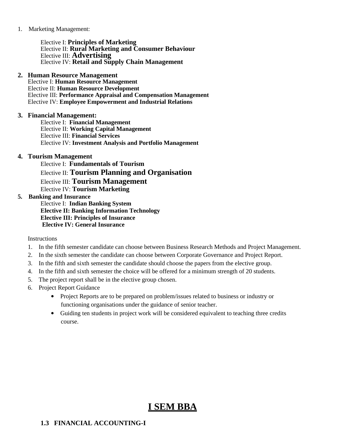1. Marketing Management:

Elective I: **Principles of Marketing** Elective II: **Rural Marketing and Consumer Behaviour** Elective III: **Advertising** Elective IV: **Retail and Supply Chain Management**

#### **2. Human Resource Management**

Elective I: **Human Resource Management** Elective II: **Human Resource Development** Elective III: **Performance Appraisal and Compensation Management** Elective IV: **Employee Empowerment and Industrial Relations**

#### **3. Financial Management:**

Elective I: **Financial Management** Elective II: **Working Capital Management** Elective III: **Financial Services** Elective IV: **Investment Analysis and Portfolio Management**

#### **4. Tourism Management**

Elective I: **Fundamentals of Tourism** Elective II: **Tourism Planning and Organisation** Elective III: **Tourism Management** Elective IV: **Tourism Marketing**

#### **5. Banking and Insurance**

Elective I: **Indian Banking System Elective II: Banking Information Technology Elective III: Principles of Insurance Elective IV: General Insurance**

Instructions

- 1. In the fifth semester candidate can choose between Business Research Methods and Project Management.
- 2. In the sixth semester the candidate can choose between Corporate Governance and Project Report.
- 3. In the fifth and sixth semester the candidate should choose the papers from the elective group.
- 4. In the fifth and sixth semester the choice will be offered for a minimum strength of 20 students.
- 5. The project report shall be in the elective group chosen.
- 6. Project Report Guidance
	- Project Reports are to be prepared on problem/issues related to business or industry or functioning organisations under the guidance of senior teacher.
	- Guiding ten students in project work will be considered equivalent to teaching three credits course.

# **I SEM BBA**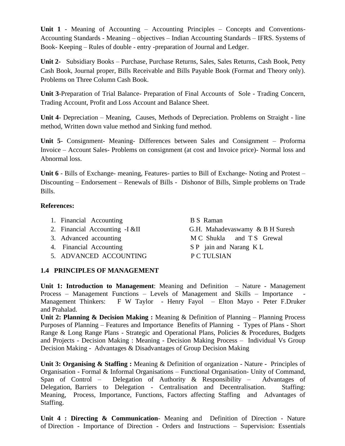**Unit 1** - Meaning of Accounting – Accounting Principles – Concepts and Conventions-Accounting Standards - Meaning – objectives – Indian Accounting Standards – IFRS. Systems of Book- Keeping – Rules of double - entry -preparation of Journal and Ledger.

**Unit 2-** Subsidiary Books – Purchase, Purchase Returns, Sales, Sales Returns, Cash Book, Petty Cash Book, Journal proper, Bills Receivable and Bills Payable Book (Format and Theory only). Problems on Three Column Cash Book.

**Unit 3**-Preparation of Trial Balance- Preparation of Final Accounts of Sole - Trading Concern, Trading Account, Profit and Loss Account and Balance Sheet.

**Unit 4**- Depreciation – Meaning, Causes, Methods of Depreciation. Problems on Straight - line method, Written down value method and Sinking fund method.

**Unit 5**- Consignment- Meaning- Differences between Sales and Consignment – Proforma Invoice – Account Sales- Problems on consignment (at cost and Invoice price)- Normal loss and Abnormal loss.

**Unit 6** - Bills of Exchange- meaning, Features- parties to Bill of Exchange- Noting and Protest – Discounting – Endorsement – Renewals of Bills - Dishonor of Bills, Simple problems on Trade Bills.

#### **References:**

- 1. Financial Accounting B S Raman
- 
- 
- 
- 5. ADVANCED ACCOUNTING P C TULSIAN

2. Financial Accounting -I &II G.H. Mahadevaswamy & B H Suresh 3. Advanced accounting M C Shukla and T S Grewal 4. Financial Accounting SP jain and Narang KL

# **1.4 PRINCIPLES OF MANAGEMENT**

**Unit 1: Introduction to Management**: Meaning and Definition – Nature - Management Process – Management Functions – Levels of Management and Skills – Importance Management Thinkers: F W Taylor - Henry Fayol – Elton Mayo - Peter F.Druker and Prahalad.

**Unit 2: Planning & Decision Making :** Meaning & Definition of Planning – Planning Process Purposes of Planning – Features and Importance Benefits of Planning - Types of Plans - Short Range & Long Range Plans - Strategic and Operational Plans, Policies & Procedures, Budgets and Projects - Decision Making : Meaning - Decision Making Process – Individual Vs Group Decision Making - Advantages & Disadvantages of Group Decision Making

**Unit 3: Organising & Staffing :** Meaning & Definition of organization - Nature **-** Principles of Organisation - Formal & Informal Organisations – Functional Organisation- Unity of Command, Span of Control – Delegation of Authority & Responsibility – Advantages of Delegation, Barriers to Delegation - Centralisation and Decentralisation. Staffing: Meaning, Process, Importance, Functions, Factors affecting Staffing and Advantages of Staffing.

**Unit 4 : Directing & Communication**- Meaning and Definition of Direction - Nature of Direction - Importance of Direction - Orders and Instructions – Supervision: Essentials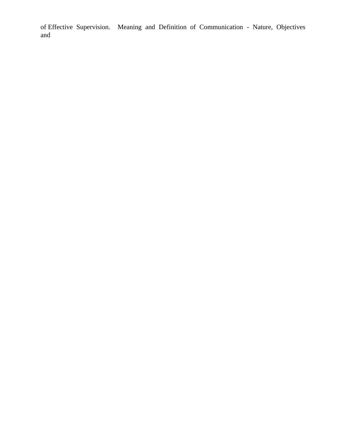of Effective Supervision. Meaning and Definition of Communication - Nature, Objectives and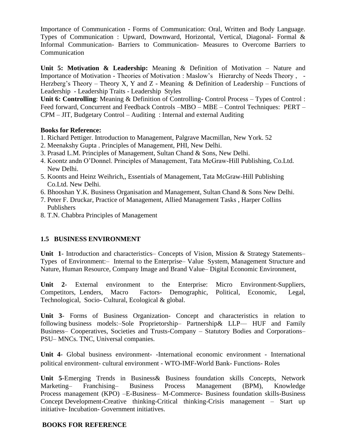Importance of Communication - Forms of Communication: Oral, Written and Body Language. Types of Communication : Upward, Downward, Horizontal, Vertical, Diagonal- Formal & Informal Communication- Barriers to Communication- Measures to Overcome Barriers to Communication

**Unit 5: Motivation & Leadership:** Meaning & Definition of Motivation – Nature and Importance of Motivation - Theories of Motivation : Maslow's Hierarchy of Needs Theory , - Herzberg's Theory – Theory X, Y and Z - Meaning & Definition of Leadership – Functions of Leadership - Leadership Traits - Leadership Styles

**Unit 6: Controlling**: Meaning & Definition of Controlling**-** Control Process – Types of Control : Feed forward, Concurrent and Feedback Controls –MBO – MBE – Control Techniques: PERT – CPM – JIT, Budgetary Control – Auditing : Internal and external Auditing

#### **Books for Reference:**

- 1. Richard Pettiger. Introduction to Management, Palgrave Macmillan, New York. 52
- 2. Meenakshy Gupta . Principles of Management, PHI, New Delhi.
- 3. Prasad L.M. Principles of Management, Sultan Chand & Sons, New Delhi.
- 4. Koontz andn O'Donnel. Principles of Management, Tata McGraw-Hill Publishing, Co.Ltd. New Delhi.
- 5. Koonts and Heinz Weihrich,, Essentials of Management, Tata McGraw-Hill Publishing Co.Ltd. New Delhi.
- 6. Bhooshan Y.K. Business Organisation and Management, Sultan Chand & Sons New Delhi.
- 7. Peter F. Druckar, Practice of Management, Allied Management Tasks , Harper Collins Publishers
- 8. T.N. Chabbra Principles of Management

# **1.5 BUSINESS ENVIRONMENT**

**Unit 1**- Introduction and characteristics– Concepts of Vision, Mission & Strategy Statements– Types of Environment:– Internal to the Enterprise– Value System, Management Structure and Nature, Human Resource, Company Image and Brand Value– Digital Economic Environment,

**Unit 2**- External environment to the Enterprise: Micro Environment-Suppliers, Competitors, Lenders, Macro Factors- Demographic, Political, Economic, Legal, Technological, Socio- Cultural, Ecological & global.

**Unit 3**- Forms of Business Organization- Concept and characteristics in relation to following business models:-Sole Proprietorship- Partnership & LLP-– HUF and Family Business– Cooperatives, Societies and Trusts-Company – Statutory Bodies and Corporations– PSU– MNCs. TNC, Universal companies.

**Unit 4**- Global business environment- -International economic environment - International political environment- cultural environment - WTO-IMF-World Bank- Functions- Roles

**Unit 5**-Emerging Trends in Business& Business foundation skills Concepts, Network Marketing– Franchising– Business Process Management (BPM), Knowledge Process management (KPO) –E-Business– M-Commerce- Business foundation skills-Business Concept Development-Creative thinking-Critical thinking-Crisis management – Start up initiative- Incubation- Government initiatives.

# **BOOKS FOR REFERENCE**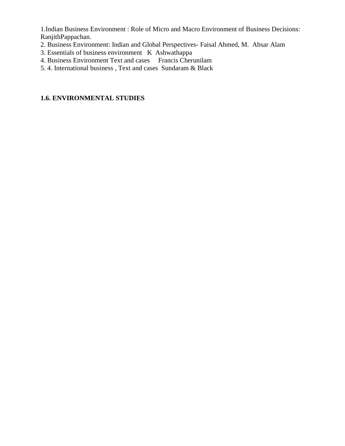1.Indian Business Environment : Role of Micro and Macro Environment of Business Decisions: RanjithPappachan.

- 2. Business Environment: Indian and Global Perspectives- Faisal Ahmed, M. Absar Alam
- 3. Essentials of business environment K Ashwathappa
- 4. Business Environment Text and cases Francis Cherunilam
- 5. 4. International business , Text and cases Sundaram & Black

# **1.6. ENVIRONMENTAL STUDIES**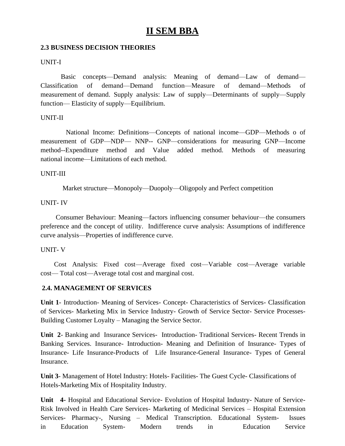# **II SEM BBA**

# **2.3 BUSINESS DECISION THEORIES**

### UNIT-I

Basic concepts—Demand analysis: Meaning of demand—Law of demand— Classification of demand—Demand function—Measure of demand—Methods of measurement of demand. Supply analysis: Law of supply—Determinants of supply—Supply function— Elasticity of supply—Equilibrium.

#### UNIT-II

National Income: Definitions—Concepts of national income—GDP—Methods o of measurement of GDP—NDP— NNP-- GNP—considerations for measuring GNP—Income method--Expenditure method and Value added method. Methods of measuring national income—Limitations of each method.

#### UNIT-III

Market structure—Monopoly—Duopoly—Oligopoly and Perfect competition

# UNIT- IV

Consumer Behaviour: Meaning—factors influencing consumer behaviour—the consumers preference and the concept of utility. Indifference curve analysis: Assumptions of indifference curve analysis—Properties of indifference curve.

#### UNIT- V

Cost Analysis: Fixed cost—Average fixed cost—Variable cost—Average variable cost— Total cost—Average total cost and marginal cost.

# **2.4. MANAGEMENT OF SERVICES**

**Unit 1**- Introduction- Meaning of Services- Concept- Characteristics of Services- Classification of Services- Marketing Mix in Service Industry- Growth of Service Sector- Service Processes-Building Customer Loyalty – Managing the Service Sector.

**Unit 2**- Banking and Insurance Services- Introduction- Traditional Services- Recent Trends in Banking Services. Insurance- Introduction- Meaning and Definition of Insurance- Types of Insurance- Life Insurance-Products of Life Insurance-General Insurance- Types of General Insurance.

**Unit 3**- Management of Hotel Industry: Hotels- Facilities- The Guest Cycle- Classifications of Hotels-Marketing Mix of Hospitality Industry.

**Unit 4-** Hospital and Educational Service- Evolution of Hospital Industry- Nature of Service-Risk Involved in Health Care Services- Marketing of Medicinal Services – Hospital Extension Services- Pharmacy-, Nursing – Medical Transcription. Educational System- Issues in Education System- Modern trends in Education Service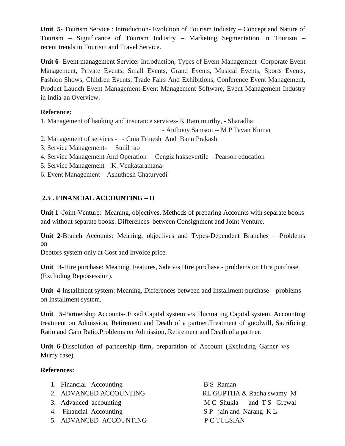**Unit 5**- Tourism Service : Introduction- Evolution of Tourism Industry – Concept and Nature of Tourism – Significance of Tourism Industry – Marketing Segmentation in Tourism – recent trends in Tourism and Travel Service.

**Unit 6**- Event management Service: Introduction, Types of Event Management -Corporate Event Management, Private Events, Small Events, Grand Events, Musical Events, Sports Events, Fashion Shows, Children Events, Trade Fairs And Exhibitions, Conference Event Management, Product Launch Event Management-Event Management Software, Event Management Industry in India-an Overview.

# **Reference:**

1. Management of banking and insurance services- K Ram murthy, - Sharadha

- Anthony Samson -- M P Pavan Kumar

- 2. Management of services - Cma Trinesh And Banu Prakash
- 3. Service Management- Sunil rao
- 4. Service Management And Operation Cengiz haksevertile Pearson education
- 5. Service Management K. Venkataramana-
- 6. Event Management Ashuthosh Chaturvedi

# **2.5 . FINANCIAL ACCOUNTING – II**

**Unit 1** -Joint-Venture: Meaning, objectives, Methods of preparing Accounts with separate books and without separate books. Differences between Consignment and Joint Venture.

**Unit 2**-Branch Accounts: Meaning, objectives and Types-Dependent Branches – Problems on

Debtors system only at Cost and Invoice price.

**Unit 3**-Hire purchase: Meaning, Features, Sale v/s Hire purchase - problems on Hire purchase (Excluding Repossession).

**Unit 4**-Installment system: Meaning, Differences between and Installment purchase – problems on Installment system.

**Unit 5**-Partnership Accounts- Fixed Capital system v/s Fluctuating Capital system. Accounting treatment on Admission, Retirement and Death of a partner.Treatment of goodwill, Sacrificing Ratio and Gain Ratio.Problems on Admission, Retirement and Death of a partner.

**Unit 6**-Dissolution of partnership firm, preparation of Account (Excluding Garner v/s Murry case).

# **References:**

| 1. Financial Accounting | <b>B</b> S Raman          |
|-------------------------|---------------------------|
| 2. ADVANCED ACCOUNTING  | RL GUPTHA & Radha swamy M |
| 3. Advanced accounting  | M C Shukla and T S Grewal |
| 4. Financial Accounting | S P jain and Narang K L   |
| 5. ADVANCED ACCOUNTING  | P C TULSIAN               |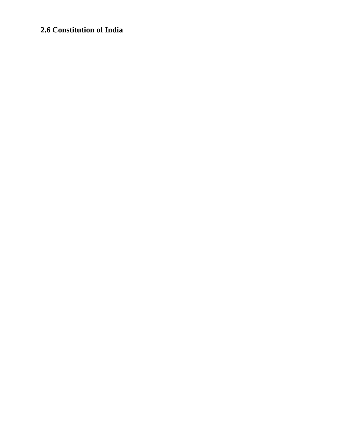# **2.6 Constitution of India**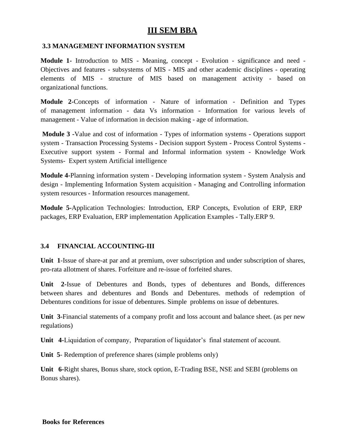# **III SEM BBA**

### **3.3 MANAGEMENT INFORMATION SYSTEM**

**Module 1-** Introduction to MIS - Meaning, concept - Evolution - significance and need - Objectives and features - subsystems of MIS - MIS and other academic disciplines - operating elements of MIS - structure of MIS based on management activity - based on organizational functions.

**Module 2-**Concepts of information - Nature of information - Definition and Types of management information - data Vs information - Information for various levels of management - Value of information in decision making - age of information.

**Module 3 -**Value and cost of information - Types of information systems - Operations support system - Transaction Processing Systems - Decision support System - Process Control Systems - Executive support system - Formal and Informal information system - Knowledge Work Systems- Expert system Artificial intelligence

**Module 4-**Planning information system - Developing information system - System Analysis and design - Implementing Information System acquisition - Managing and Controlling information system resources - Information resources management.

**Module 5-**Application Technologies: Introduction, ERP Concepts, Evolution of ERP, ERP packages, ERP Evaluation, ERP implementation Application Examples - Tally.ERP 9.

# **3.4 FINANCIAL ACCOUNTING-III**

**Unit 1**-Issue of share-at par and at premium, over subscription and under subscription of shares, pro-rata allotment of shares. Forfeiture and re-issue of forfeited shares.

**Unit 2-**Issue of Debentures and Bonds, types of debentures and Bonds, differences between shares and debentures and Bonds and Debentures. methods of redemption of Debentures conditions for issue of debentures. Simple problems on issue of debentures.

**Unit 3-**Financial statements of a company profit and loss account and balance sheet. (as per new regulations)

**Unit 4-**Liquidation of company, Preparation of liquidator's final statement of account.

**Unit 5**- Redemption of preference shares (simple problems only)

**Unit 6-**Right shares, Bonus share, stock option, E-Trading BSE, NSE and SEBI (problems on Bonus shares).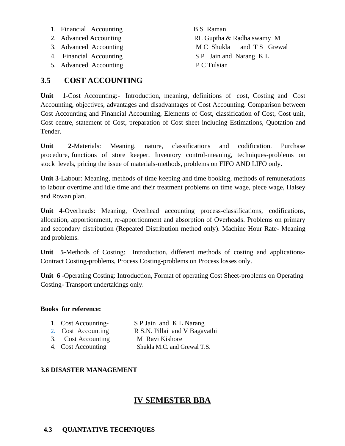- 1. Financial Accounting B S Raman
- 
- 
- 
- 5. Advanced Accounting P C Tulsian

2. Advanced Accounting RL Guptha & Radha swamy M 3. Advanced Accounting M C Shukla and T S Grewal 4. Financial Accounting SP Jain and Narang K L

# **3.5 COST ACCOUNTING**

**Unit 1**-Cost Accounting:- Introduction, meaning, definitions of cost, Costing and Cost Accounting, objectives, advantages and disadvantages of Cost Accounting. Comparison between Cost Accounting and Financial Accounting, Elements of Cost, classification of Cost, Cost unit, Cost centre, statement of Cost, preparation of Cost sheet including Estimations, Quotation and Tender.

**Unit 2**-Materials: Meaning, nature, classifications and codification. Purchase procedure, functions of store keeper. Inventory control-meaning, techniques-problems on stock levels, pricing the issue of materials-methods, problems on FIFO AND LIFO only.

**Unit 3**-Labour: Meaning, methods of time keeping and time booking, methods of remunerations to labour overtime and idle time and their treatment problems on time wage, piece wage, Halsey and Rowan plan.

**Unit 4**-Overheads: Meaning, Overhead accounting process-classifications, codifications, allocation, apportionment, re-apportionment and absorption of Overheads. Problems on primary and secondary distribution (Repeated Distribution method only). Machine Hour Rate- Meaning and problems.

**Unit 5**-Methods of Costing: Introduction, different methods of costing and applications-Contract Costing-problems, Process Costing-problems on Process losses only.

**Unit 6** -Operating Costing: Introduction, Format of operating Cost Sheet-problems on Operating Costing- Transport undertakings only.

# **Books for reference:**

| 1. Cost Accounting- | S P Jain and K L Narang       |
|---------------------|-------------------------------|
| 2. Cost Accounting  | R S.N. Pillai and V Bagavathi |
| 3. Cost Accounting  | M Ravi Kishore                |
| 4. Cost Accounting  | Shukla M.C. and Grewal T.S.   |
|                     |                               |

# **3.6 DISASTER MANAGEMENT**

# **IV SEMESTER BBA**

# **4.3 QUANTATIVE TECHNIQUES**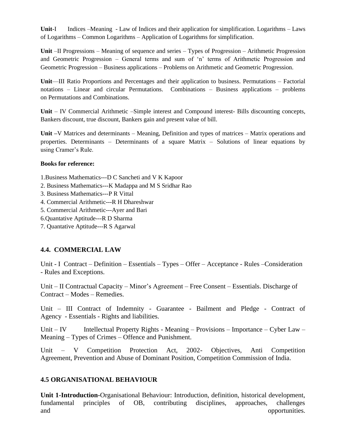**Unit**-I Indices –Meaning - Law of Indices and their application for simplification. Logarithms – Laws of Logarithms – Common Logarithms – Application of Logarithms for simplification.

**Unit** –II Progressions – Meaning of sequence and series – Types of Progression – Arithmetic Progression and Geometric Progression – General terms and sum of 'n' terms of Arithmetic Progression and Geometric Progression – Business applications – Problems on Arithmetic and Geometric Progression.

**Unit**—III Ratio Proportions and Percentages and their application to business. Permutations – Factorial notations – Linear and circular Permutations. Combinations – Business applications – problems on Permutations and Combinations.

**Unit** – IV Commercial Arithmetic –Simple interest and Compound interest- Bills discounting concepts, Bankers discount, true discount, Bankers gain and present value of bill.

**Unit –**V Matrices and determinants – Meaning, Definition and types of matrices – Matrix operations and properties. Determinants – Determinants of a square Matrix – Solutions of linear equations by using Cramer's Rule.

#### **Books for reference:**

- 1.Business Mathematics---D C Sancheti and V K Kapoor
- 2. Business Mathematics---K Madappa and M S Sridhar Rao
- 3. Business Mathematics---P R Vittal
- 4. Commercial Arithmetic---R H Dhareshwar
- 5. Commercial Arithmetic---Ayer and Bari
- 6.Quantative Aptitude---R D Sharma
- 7. Quantative Aptitude---R S Agarwal

# **4.4. COMMERCIAL LAW**

Unit - I Contract – Definition – Essentials – Types – Offer – Acceptance - Rules –Consideration - Rules and Exceptions.

Unit – II Contractual Capacity – Minor's Agreement – Free Consent – Essentials. Discharge of Contract – Modes – Remedies.

Unit – III Contract of Indemnity - Guarantee - Bailment and Pledge - Contract of Agency - Essentials - Rights and liabilities.

Unit – IV Intellectual Property Rights - Meaning – Provisions – Importance – Cyber Law – Meaning – Types of Crimes – Offence and Punishment.

Unit – V Competition Protection Act, 2002- Objectives, Anti Competition Agreement, Prevention and Abuse of Dominant Position, Competition Commission of India.

# **4.5 ORGANISATIONAL BEHAVIOUR**

**Unit 1-Introduction-**Organisational Behaviour: Introduction, definition, historical development, fundamental principles of OB, contributing disciplines, approaches, challenges and opportunities.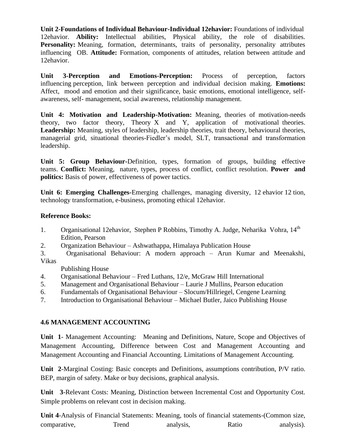**Unit 2-Foundations of Individual Behaviour-Individual 12ehavior:** Foundations of individual 12ehavior. **Ability:** Intellectual abilities, Physical ability, the role of disabilities. Personality: Meaning, formation, determinants, traits of personality, personality attributes influencing OB. **Attitude:** Formation, components of attitudes, relation between attitude and 12ehavior.

**Unit 3-Perception and Emotions-Perception:** Process of perception, factors influencing perception, link between perception and individual decision making. **Emotions:**  Affect, mood and emotion and their significance, basic emotions, emotional intelligence, selfawareness, self- management, social awareness, relationship management.

**Unit 4: Motivation and Leadership-Motivation:** Meaning, theories of motivation-needs theory, two factor theory, Theory X and Y, application of motivational theories. Leadership: Meaning, styles of leadership, leadership theories, trait theory, behavioural theories, managerial grid, situational theories-Fiedler's model, SLT, transactional and transformation leadership.

**Unit 5: Group Behaviour-**Definition, types, formation of groups, building effective teams. **Conflict:** Meaning, nature, types, process of conflict, conflict resolution. **Power and politics:** Basis of power, effectiveness of power tactics.

**Unit 6: Emerging Challenges-**Emerging challenges, managing diversity, 12 ehavior 12 tion, technology transformation, e-business, promoting ethical 12ehavior.

# **Reference Books:**

- 1. Organisational 12ehavior, Stephen P Robbins, Timothy A. Judge, Neharika Vohra, 14<sup>th</sup> Edition, Pearson
- 2. Organization Behaviour Ashwathappa, Himalaya Publication House
- 3. Organisational Behaviour: A modern approach Arun Kumar and Meenakshi, Vikas

Publishing House

- 4. Organisational Behaviour Fred Luthans, 12/e, McGraw Hill International
- 5. Management and Organisational Behaviour Laurie J Mullins, Pearson education
- 6. Fundamentals of Organisational Behaviour Slocum/Hillriegel, Cengene Learning
- 7. Introduction to Organisational Behaviour Michael Butler, Jaico Publishing House

# **4.6 MANAGEMENT ACCOUNTING**

**Unit 1**- Management Accounting: Meaning and Definitions, Nature, Scope and Objectives of Management Accounting, Difference between Cost and Management Accounting and Management Accounting and Financial Accounting. Limitations of Management Accounting.

**Unit 2**-Marginal Costing: Basic concepts and Definitions, assumptions contribution, P/V ratio. BEP, margin of safety. Make or buy decisions, graphical analysis.

**Unit 3**-Relevant Costs: Meaning, Distinction between Incremental Cost and Opportunity Cost. Simple problems on relevant cost in decision making.

**Unit 4**-Analysis of Financial Statements: Meaning, tools of financial statements-(Common size, comparative, Trend analysis, Ratio analysis).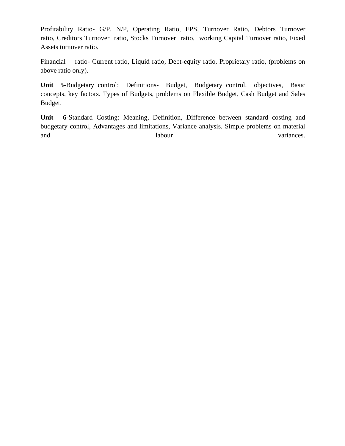Profitability Ratio- G/P, N/P, Operating Ratio, EPS, Turnover Ratio, Debtors Turnover ratio, Creditors Turnover ratio, Stocks Turnover ratio, working Capital Turnover ratio, Fixed Assets turnover ratio.

Financial ratio- Current ratio, Liquid ratio, Debt-equity ratio, Proprietary ratio, (problems on above ratio only).

**Unit 5**-Budgetary control: Definitions- Budget, Budgetary control, objectives, Basic concepts, key factors. Types of Budgets, problems on Flexible Budget, Cash Budget and Sales Budget.

**Unit 6**-Standard Costing: Meaning, Definition, Difference between standard costing and budgetary control, Advantages and limitations, Variance analysis. Simple problems on material and labour labour variances.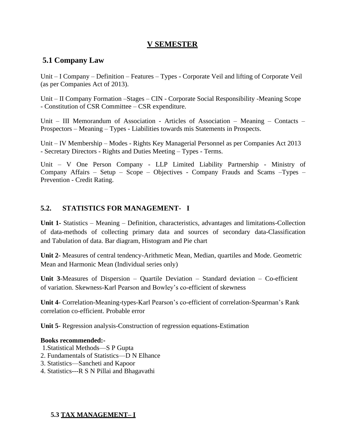# **V SEMESTER**

# **5.1 Company Law**

Unit – I Company – Definition – Features – Types - Corporate Veil and lifting of Corporate Veil (as per Companies Act of 2013).

Unit – II Company Formation –Stages – CIN - Corporate Social Responsibility -Meaning Scope - Constitution of CSR Committee – CSR expenditure.

Unit – III Memorandum of Association - Articles of Association – Meaning – Contacts – Prospectors – Meaning – Types - Liabilities towards mis Statements in Prospects.

Unit – IV Membership – Modes - Rights Key Managerial Personnel as per Companies Act 2013 - Secretary Directors - Rights and Duties Meeting – Types - Terms.

Unit – V One Person Company - LLP Limited Liability Partnership - Ministry of Company Affairs – Setup – Scope – Objectives - Company Frauds and Scams –Types – Prevention - Credit Rating.

# **5.2. STATISTICS FOR MANAGEMENT- I**

**Unit 1-** Statistics – Meaning – Definition, characteristics, advantages and limitations-Collection of data-methods of collecting primary data and sources of secondary data-Classification and Tabulation of data. Bar diagram, Histogram and Pie chart

**Unit 2**- Measures of central tendency-Arithmetic Mean, Median, quartiles and Mode. Geometric Mean and Harmonic Mean (Individual series only)

**Unit 3**-Measures of Dispersion – Quartile Deviation – Standard deviation – Co-efficient of variation. Skewness-Karl Pearson and Bowley's co-efficient of skewness

**Unit 4**- Correlation-Meaning-types-Karl Pearson's co-efficient of correlation-Spearman's Rank correlation co-efficient. Probable error

**Unit 5**- Regression analysis-Construction of regression equations-Estimation

#### **Books recommended:-**

- 1.Statistical Methods—S P Gupta
- 2. Fundamentals of Statistics—D N Elhance
- 3. Statistics—Sancheti and Kapoor
- 4. Statistics---R S N Pillai and Bhagavathi

**5.3 TAX MANAGEMENT– I**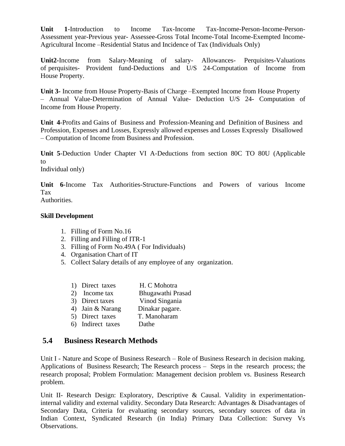**Unit 1**-Introduction to Income Tax-Income Tax-Income-Person-Income-Person-Assessment year-Previous year- Assessee-Gross Total Income-Total Income-Exempted Income-Agricultural Income –Residential Status and Incidence of Tax (Individuals Only)

**Unit2-**Income from Salary-Meaning of salary- Allowances- Perquisites-Valuations of perquisites- Provident fund-Deductions and U/S 24-Computation of Income from House Property.

**Unit 3-** Income from House Property-Basis of Charge –Exempted Income from House Property – Annual Value-Determination of Annual Value- Deduction U/S 24- Computation of Income from House Property.

**Unit 4**-Profits and Gains of Business and Profession-Meaning and Definition of Business and Profession, Expenses and Losses, Expressly allowed expenses and Losses Expressly Disallowed – Computation of Income from Business and Profession.

**Unit 5**-Deduction Under Chapter VI A-Deductions from section 80C TO 80U (Applicable to

Individual only)

**Unit 6**-Income Tax Authorities-Structure-Functions and Powers of various Income Tax Authorities.

# **Skill Development**

- 1. Filling of Form No.16
- 2. Filling and Filling of ITR-1
- 3. Filling of Form No.49A ( For Individuals)
- 4. Organisation Chart of IT
- 5. Collect Salary details of any employee of any organization.

| 1) Direct taxes   | H. C Mohotra      |
|-------------------|-------------------|
| 2) Income tax     | Bhugawathi Prasad |
| 3) Direct taxes   | Vinod Singania    |
| 4) Jain & Narang  | Dinakar pagare.   |
| 5) Direct taxes   | T. Manoharam      |
| 6) Indirect taxes | Dathe             |
|                   |                   |

# **5.4 Business Research Methods**

Unit I - Nature and Scope of Business Research – Role of Business Research in decision making. Applications of Business Research; The Research process – Steps in the research process; the research proposal; Problem Formulation: Management decision problem vs. Business Research problem.

Unit II- Research Design: Exploratory, Descriptive & Causal. Validity in experimentationinternal validity and external validity. Secondary Data Research: Advantages & Disadvantages of Secondary Data, Criteria for evaluating secondary sources, secondary sources of data in Indian Context, Syndicated Research (in India) Primary Data Collection: Survey Vs Observations.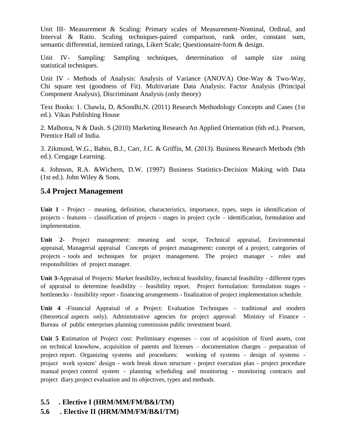Unit III- Measurement & Scaling: Primary scales of Measurement-Nominal, Ordinal, and Interval & Ratio. Scaling techniques-paired comparison, rank order, constant sum, semantic differential, itemized ratings, Likert Scale; Questionnaire-form & design.

Unit IV- Sampling: Sampling techniques, determination of sample size using statistical techniques.

Unit IV - Methods of Analysis: Analysis of Variance (ANOVA) One-Way & Two-Way, Chi square test (goodness of Fit). Multivariate Data Analysis: Factor Analysis (Principal Component Analysis), Discriminant Analysis (only theory)

Text Books: 1. Chawla, D, &Sondhi,N. (2011) Research Methodology Concepts and Cases (1st ed.). Vikas Publishing House

2. Malhotra, N & Dash. S (2010) Marketing Research An Applied Orientation (6th ed.). Pearson, Prentice Hall of India.

3. Zikmund, W.G., Babin, B.J., Carr, J.C. & Griffin, M. (2013). Business Research Methods (9th ed.). Cengage Learning.

4. Johnson, R.A. &Wichern, D.W. (1997) Business Statistics-Decision Making with Data (1st ed.). John Wiley & Sons.

# **5.4 Project Management**

**Unit 1 -** Project – meaning, definition, characteristics, importance, types, steps in identification of projects - features – classification of projects - stages in project cycle – identification, formulation and implementation.

**Unit 2-** Project management: meaning and scope, Technical appraisal, Environmental appraisal, Managerial appraisal Concepts of project management**:** concept of a project, categories of projects - tools and techniques for project management. The project manager - roles and responsibilities of project manager.

**Unit 3-**Appraisal of Projects: Market feasibility, technical feasibility, financial feasibility - different types of appraisal to determine feasibility – feasibility report. Project formulation: formulation stages bottlenecks - feasibility report - financing arrangements - finalization of project implementation schedule.

**Unit 4 -**Financial Appraisal of a Project: Evaluation Techniques – traditional and modern (theoretical aspects only). Administrative agencies for project approval: Ministry of Finance - Bureau of public enterprises planning commission public investment board.

**Unit 5 E**stimation of Project cost: Preliminary expenses – cost of acquisition of fixed assets, cost on technical knowhow, acquisition of patents and licenses – documentation charges – preparation of project report. Organizing systems and procedures: working of systems - design of systems project work system' design - work break down structure - project execution plan - project procedure manual project control system - planning scheduling and monitoring - monitoring contracts and project diary.project evaluation and its objectives, types and methods.

# **5.5 . Elective I (HRM/MM/FM/B&I/TM)**

# **5.6 . Elective II (HRM/MM/FM/B&I/TM)**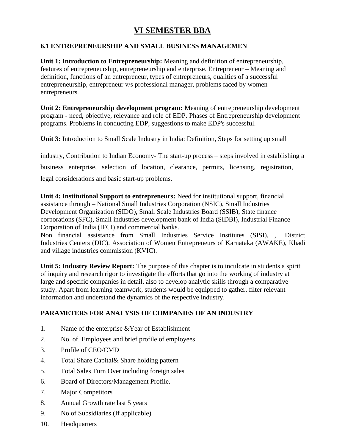# **VI SEMESTER BBA**

# **6.1 ENTREPRENEURSHIP AND SMALL BUSINESS MANAGEMEN**

**Unit 1: Introduction to Entrepreneurship:** Meaning and definition of entrepreneurship, features of entrepreneurship, entrepreneurship and enterprise. Entrepreneur – Meaning and definition, functions of an entrepreneur, types of entrepreneurs, qualities of a successful entrepreneurship, entrepreneur v/s professional manager, problems faced by women entrepreneurs.

**Unit 2: Entrepreneurship development program:** Meaning of entrepreneurship development program - need, objective, relevance and role of EDP. Phases of Entrepreneurship development programs. Problems in conducting EDP, suggestions to make EDP's successful.

**Unit 3:** Introduction to Small Scale Industry in India: Definition, Steps for setting up small

industry, Contribution to Indian Economy- The start-up process – steps involved in establishing a business enterprise, selection of location, clearance, permits, licensing, registration, legal considerations and basic start-up problems.

**Unit 4: Institutional Support to entrepreneurs:** Need for institutional support, financial assistance through – National Small Industries Corporation (NSIC), Small Industries Development Organization (SIDO), Small Scale Industries Board (SSIB), State finance corporations (SFC), Small industries development bank of India (SIDBI), Industrial Finance Corporation of India (IFCI) and commercial banks.

Non financial assistance from Small Industries Service Institutes (SISI), , District Industries Centers (DIC). Association of Women Entrepreneurs of Karnataka (AWAKE), Khadi and village industries commission (KVIC).

**Unit 5: Industry Review Report:** The purpose of this chapter is to inculcate in students a spirit of inquiry and research rigor to investigate the efforts that go into the working of industry at large and specific companies in detail, also to develop analytic skills through a comparative study. Apart from learning teamwork, students would be equipped to gather, filter relevant information and understand the dynamics of the respective industry.

# **PARAMETERS FOR ANALYSIS OF COMPANIES OF AN INDUSTRY**

- 1. Name of the enterprise &Year of Establishment
- 2. No. of. Employees and brief profile of employees
- 3. Profile of CEO/CMD
- 4. Total Share Capital& Share holding pattern
- 5. Total Sales Turn Over including foreign sales
- 6. Board of Directors/Management Profile.
- 7. Major Competitors
- 8. Annual Growth rate last 5 years
- 9. No of Subsidiaries (If applicable)
- 10. Headquarters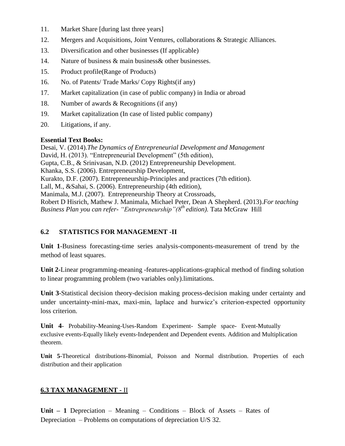- 11. Market Share [during last three years]
- 12. Mergers and Acquisitions, Joint Ventures, collaborations & Strategic Alliances.
- 13. Diversification and other businesses (If applicable)
- 14. Nature of business & main business& other businesses.
- 15. Product profile(Range of Products)
- 16. No. of Patents/ Trade Marks/ Copy Rights(if any)
- 17. Market capitalization (in case of public company) in India or abroad
- 18. Number of awards & Recognitions (if any)
- 19. Market capitalization (In case of listed public company)
- 20. Litigations, if any.

# **Essential Text Books:**

Desai, V. (2014).*The Dynamics of Entrepreneurial Development and Management* David, H. (2013). "Entrepreneurial Development" (5th edition), Gupta, C.B., & Srinivasan, N.D. (2012) Entrepreneurship Development. Khanka, S.S. (2006). Entrepreneurship Development, Kurakto, D.F. (2007). Entrepreneurship-Principles and practices (7th edition). Lall, M., &Sahai, S. (2006). Entrepreneurship (4th edition), Manimala, M.J. (2007). Entrepreneurship Theory at Crossroads, Robert D Hisrich, Mathew J. Manimala, Michael Peter, Dean A Shepherd. (2013).*For teaching Business Plan you can refer- "Entrepreneurship"(8th edition).* Tata McGraw Hill

# **6.2 STATISTICS FOR MANAGEMENT -II**

**Unit 1**-Business forecasting-time series analysis-components-measurement of trend by the method of least squares.

**Unit 2-**Linear programming-meaning -features-applications-graphical method of finding solution to linear programming problem (two variables only).limitations.

**Unit 3**-Statistical decision theory-decision making process-decision making under certainty and under uncertainty-mini-max, maxi-min, laplace and hurwicz's criterion-expected opportunity loss criterion.

**Unit 4**- Probability-Meaning-Uses-Random Experiment- Sample space- Event-Mutually exclusive events-Equally likely events-Independent and Dependent events. Addition and Multiplication theorem.

**Unit 5**-Theoretical distributions-Binomial, Poisson and Normal distribution. Properties of each distribution and their application

# **6.3 TAX MANAGEMENT -** II

**Unit – 1** Depreciation – Meaning – Conditions – Block of Assets – Rates of Depreciation – Problems on computations of depreciation U/S 32.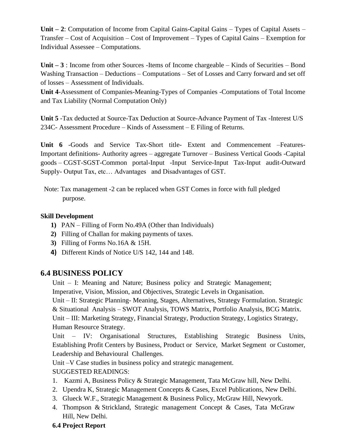**Unit – 2**: Computation of Income from Capital Gains-Capital Gains – Types of Capital Assets – Transfer – Cost of Acquisition – Cost of Improvement – Types of Capital Gains – Exemption for Individual Assessee – Computations.

**Unit – 3** : Income from other Sources -Items of Income chargeable – Kinds of Securities – Bond Washing Transaction – Deductions – Computations – Set of Losses and Carry forward and set off of losses – Assessment of Individuals.

**Unit 4**-Assessment of Companies-Meaning-Types of Companies -Computations of Total Income and Tax Liability (Normal Computation Only)

**Unit 5** -Tax deducted at Source-Tax Deduction at Source-Advance Payment of Tax -Interest U/S 234C- Assessment Procedure – Kinds of Assessment – E Filing of Returns.

**Unit 6** -Goods and Service Tax-Short title- Extent and Commencement –Features-Important definitions- Authority agrees – aggregate Turnover – Business Vertical Goods -Capital goods – CGST-SGST-Common portal-Input -Input Service-Input Tax-Input audit-Outward Supply- Output Tax, etc… Advantages and Disadvantages of GST.

Note: Tax management -2 can be replaced when GST Comes in force with full pledged purpose.

# **Skill Development**

- **1)** PAN Filling of Form No.49A (Other than Individuals)
- **2)** Filling of Challan for making payments of taxes.
- **3)** Filling of Forms No.16A & 15H.
- **4)** Different Kinds of Notice U/S 142, 144 and 148.

# **6.4 BUSINESS POLICY**

Unit – I: Meaning and Nature; Business policy and Strategic Management; Imperative, Vision, Mission, and Objectives, Strategic Levels in Organisation.

Unit – II: Strategic Planning- Meaning, Stages, Alternatives, Strategy Formulation. Strategic & Situational Analysis – SWOT Analysis, TOWS Matrix, Portfolio Analysis, BCG Matrix. Unit – III: Marketing Strategy, Financial Strategy, Production Strategy, Logistics Strategy, Human Resource Strategy.

Unit – IV: Organisational Structures, Establishing Strategic Business Units, Establishing Profit Centers by Business, Product or Service, Market Segment or Customer, Leadership and Behavioural Challenges.

Unit –V Case studies in business policy and strategic management. SUGGESTED READINGS:

- 1. Kazmi A, Business Policy & Strategic Management, Tata McGraw hill, New Delhi.
- 2. Upendra K, Strategic Management Concepts & Cases, Excel Publications, New Delhi.
- 3. Glueck W.F., Strategic Management & Business Policy, McGraw Hill, Newyork.
- 4. Thompson & Strickland, Strategic management Concept & Cases, Tata McGraw Hill, New Delhi.

# **6.4 Project Report**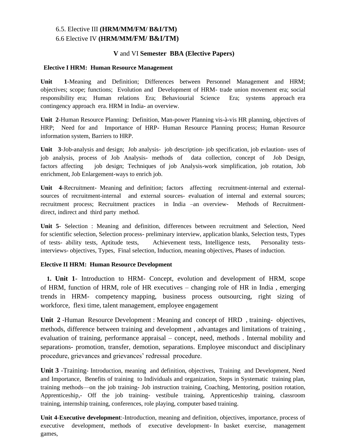# 6.5. Elective III **(HRM/MM/FM/ B&I/TM)** 6.6 Elective IV **(HRM/MM/FM/ B&I/TM)**

#### **V** and VI **Semester BBA (Elective Papers)**

#### **Elective I HRM: Human Resource Management**

**Unit 1**-Meaning and Definition; Differences between Personnel Management and HRM; objectives; scope; functions; Evolution and Development of HRM- trade union movement era; social responsibility era; Human relations Era; Behaviourial Science Era; systems approach era contingency approach era. HRM in India- an overview.

**Unit 2**-Human Resource Planning: Definition, Man-power Planning vis-à-vis HR planning, objectives of HRP; Need for and Importance of HRP- Human Resource Planning process; Human Resource information system, Barriers to HRP.

**Unit 3**-Job-analysis and design; Job analysis- job description- job specification, job evlaution- uses of job analysis, process of Job Analysis- methods of data collection, concept of Job Design, factors affecting job design; Techniques of job Analysis-work simplification, job rotation, Job enrichment, Job Enlargement-ways to enrich job.

**Unit 4**-Recruitment- Meaning and definition; factors affecting recruitment-internal and externalsources of recruitment-internal and external sources- evaluation of internal and external sources; recruitment process; Recruitment practices in India –an overview- Methods of Recruitmentdirect, indirect and third party method.

**Unit 5**- Selection : Meaning and definition, differences between recruitment and Selection, Need for scientific selection, Selection process- preliminary interview, application blanks, Selection tests, Types of tests- ability tests, Aptitude tests, Achievement tests, Intelligence tests, Personality testsinterviews- objectives, Types, Final selection, Induction, meaning objectives, Phases of induction.

#### **Elective II HRM: Human Resource Development**

**1. Unit 1**- Introduction to HRM- Concept, evolution and development of HRM, scope of HRM, function of HRM, role of HR executives – changing role of HR in India , emerging trends in HRM- competency mapping, business process outsourcing, right sizing of workforce, flexi time, talent management, employee engagement

**Unit 2** -Human Resource Development : Meaning and concept of HRD , training- objectives, methods, difference between training and development , advantages and limitations of training , evaluation of training, performance appraisal – concept, need, methods . Internal mobility and separations- promotion, transfer, demotion, separations. Employee misconduct and disciplinary procedure, grievances and grievances' redressal procedure.

**Unit 3** -Training- Introduction, meaning and definition, objectives, Training and Development, Need and Importance, Benefits of training to Individuals and organization, Steps in Systematic training plan, training methods—on the job training- Job instruction training, Coaching, Mentoring, position rotation, Apprenticeship,- Off the job training- vestibule training, Apprenticeship training, classroom training, internship training, conferences, role playing, computer based training.

**Unit 4**-**Executive development**:-Introduction, meaning and definition, objectives, importance, process of executive development, methods of executive development- In basket exercise, management games,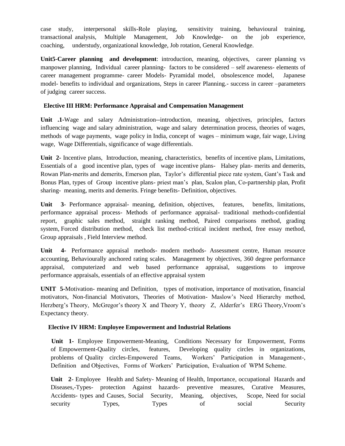case study, interpersonal skills-Role playing, sensitivity training, behavioural training, transactional analysis, Multiple Management, Job Knowledge- on the job experience, coaching, understudy, organizational knowledge, Job rotation, General Knowledge.

**Unit5**-**Career planning and development**: introduction, meaning, objectives, career planning vs manpower planning, Individual career planning- factors to be considered – self awareness- elements of career management programme- career Models- Pyramidal model, obsolescence model, Japanese model- benefits to individual and organizations, Steps in career Planning.- success in career –parameters of judging career success.

#### **Elective III HRM: Performance Appraisal and Compensation Management**

**Unit .1-**Wage and salary Administration--introduction, meaning, objectives, principles, factors influencing wage and salary administration, wage and salary determination process, theories of wages, methods of wage payments, wage policy in India, concept of wages – minimum wage, fair wage, Living wage, Wage Differentials, significance of wage differentials.

**Unit 2-** Incentive plans, Introduction, meaning, characteristics, benefits of incentive plans, Limitations, Essentials of a good incentive plan, types of wage incentive plans- Halsey plan- merits and demerits, Rowan Plan-merits and demerits, Emerson plan, Taylor's differential piece rate system, Gant's Task and Bonus Plan, types of Group incentive plans- priest man's plan, Scalon plan, Co-partnership plan, Profit sharing- meaning, merits and demerits. Fringe benefits- Definition, objectives.

**Unit 3**- Performance appraisal- meaning, definition, objectives, features, benefits, limitations, performance appraisal process- Methods of performance appraisal- traditional methods-confidential report, graphic sales method, straight ranking method, Paired comparisons method, grading system, Forced distribution method, check list method-critical incident method, free essay method, Group appraisals , Field Interview method.

**Unit 4-** Performance appraisal methods- modern methods- Assessment centre, Human resource accounting, Behaviourally anchored rating scales. Management by objectives, 360 degree performance appraisal, computerized and web based performance appraisal, suggestions to improve performance appraisals, essentials of an effective appraisal system

**UNIT 5-**Motivation- meaning and Definition, types of motivation, importance of motivation, financial motivators, Non-financial Motivators, Theories of Motivation- Maslow's Need Hierarchy method, Herzberg's Theory, McGregor's theory X and Theory Y, theory Z, Alderfer's ERG Theory,Vroom's Expectancy theory.

#### **Elective IV HRM: Employee Empowerment and Industrial Relations**

**Unit 1-** Employee Empowerment-Meaning, Conditions Necessary for Empowerment, Forms of Empowerment-Quality circles, features, Developing quality circles in organizations, problems of Quality circles-Empowered Teams, Workers' Participation in Management-, Definition and Objectives, Forms of Workers' Participation, Evaluation of WPM Scheme.

**Unit 2**- Employee Health and Safety- Meaning of Health, Importance, occupational Hazards and Diseases,-Types- protection Against hazards- preventive measures, Curative Measures, Accidents- types and Causes, Social Security, Meaning, objectives, Scope, Need for social security Types, Types of social Security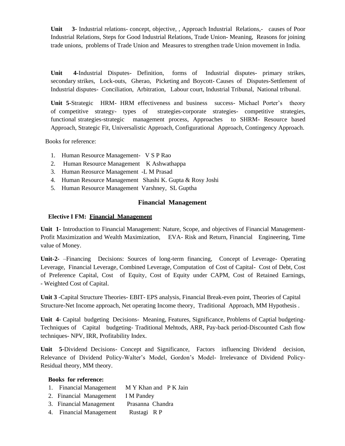**Unit 3-** Industrial relations- concept, objective, , Approach Industrial Relations,- causes of Poor Industrial Relations, Steps for Good Industrial Relations, Trade Union- Meaning, Reasons for joining trade unions, problems of Trade Union and Measures to strengthen trade Union movement in India.

**Unit 4-**Industrial Disputes- Definition, forms of Industrial disputes- primary strikes, secondary strikes, Lock-outs, Gherao, Picketing and Boycott- Causes of Disputes-Settlement of Industrial disputes- Conciliation, Arbitration, Labour court, Industrial Tribunal, National tribunal.

**Unit 5-**Strategic HRM- HRM effectiveness and business success- Michael Porter's theory of competitive strategy- types of strategies-corporate strategies- competitive strategies, functional strategies-strategic management process, Approaches to SHRM- Resource based Approach, Strategic Fit, Universalistic Approach, Configurational Approach, Contingency Approach.

Books for reference:

- 1. Human Resource Management- V S P Rao
- 2. Human Resource Management K Ashwathappa
- 3. Human Reosurce Management -L M Prasad
- 4. Human Resource Management Shashi K. Gupta & Rosy Joshi
- 5. Human Resource Management Varshney, SL Guptha

#### **Financial Management**

#### **Elective I FM: Financial Management**

**Unit 1-** Introduction to Financial Management: Nature, Scope, and objectives of Financial Management-Profit Maximization and Wealth Maximization, EVA- Risk and Return, Financial Engineering, Time value of Money.

**Unit-2-** –Financing Decisions: Sources of long-term financing, Concept of Leverage- Operating Leverage, Financial Leverage, Combined Leverage, Computation of Cost of Capital- Cost of Debt, Cost of Preference Capital, Cost of Equity, Cost of Equity under CAPM, Cost of Retained Earnings, - Weighted Cost of Capital.

**Unit 3** -Capital Structure Theories- EBIT- EPS analysis, Financial Break-even point, Theories of Capital Structure-Net Income approach, Net operating Income theory, Traditional Approach, MM Hypothesis .

**Unit 4**- Capital budgeting Decisions- Meaning, Features, Significance, Problems of Captial budgeting-Techniques of Capital budgeting- Traditional Mehtods, ARR, Pay-back period-Discounted Cash flow techniques- NPV, IRR, Profitability Index.

**Unit 5**-Dividend Decisions- Concept and Significance, Factors influencing Dividend decision, Relevance of Dividend Policy-Walter's Model, Gordon's Model- Irrelevance of Dividend Policy-Residual theory, MM theory.

#### **Books for reference:**

- 1. Financial Management M Y Khan and P K Jain
- 2. Financial Management I M Pandey
- 3. Financial Management Prasanna Chandra
- 4. Financial Management Rustagi R P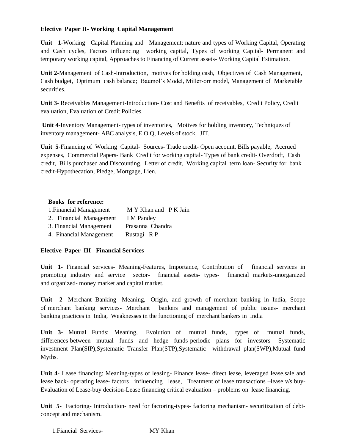#### **Elective Paper II- Working Capital Management**

**Unit 1-**Working Capital Planning and Management; nature and types of Working Capital, Operating and Cash cycles, Factors influencing working capital, Types of working Capital- Permanent and temporary working capital, Approaches to Financing of Current assets- Working Capital Estimation.

**Unit 2**-Management of Cash-Introduction, motives for holding cash, Objectives of Cash Management, Cash budget, Optimum cash balance; Baumol's Model, Miller-orr model, Management of Marketable securities.

**Unit 3**- Receivables Management-Introduction- Cost and Benefits of receivables, Credit Policy, Credit evaluation, Evaluation of Credit Policies.

**Unit 4**-Inventory Management- types of inventories, Motives for holding inventory, Techniques of inventory management- ABC analysis, E O Q, Levels of stock, JIT.

**Unit 5**-Financing of Working Capital- Sources- Trade credit- Open account, Bills payable, Accrued expenses, Commercial Papers- Bank Credit for working capital- Types of bank credit- Overdraft, Cash credit, Bills purchased and Discounting, Letter of credit, Working capital term loan- Security for bank credit-Hypothecation, Pledge, Mortgage, Lien.

#### **Books for reference:**

| 1. Financial Management | M Y Khan and P K Jain |
|-------------------------|-----------------------|
| 2. Financial Management | I M Pandey            |
| 3. Financial Management | Prasanna Chandra      |
| 4. Financial Management | Rustagi RP            |

#### **Elective Paper III- Financial Services**

**Unit 1-** Financial services- Meaning-Features, Importance, Contribution of financial services in promoting industry and service sector- financial assets- types- financial markets-unorganized and organized- money market and capital market.

**Unit 2-** Merchant Banking- Meaning, Origin, and growth of merchant banking in India, Scope of merchant banking services- Merchant bankers and management of public issues- merchant banking practices in India, Weaknesses in the functioning of merchant bankers in India

**Unit 3-** Mutual Funds: Meaning, Evolution of mutual funds, types of mutual funds, differences between mutual funds and hedge funds-periodic plans for investors- Systematic investment Plan(SIP),Systematic Transfer Plan(STP),Systematic withdrawal plan(SWP),Mutual fund Myths.

Unit 4- Lease financing: Meaning-types of leasing- Finance lease- direct lease, leveraged lease, sale and lease back- operating lease- factors influencing lease, Treatment of lease transactions –lease v/s buy-Evaluation of Lease-buy decision-Lease financing critical evaluation – problems on lease financing.

**Unit 5-** Factoring- Introduction- need for factoring-types- factoring mechanism- securitization of debtconcept and mechanism.

1.Fiancial Services- MY Khan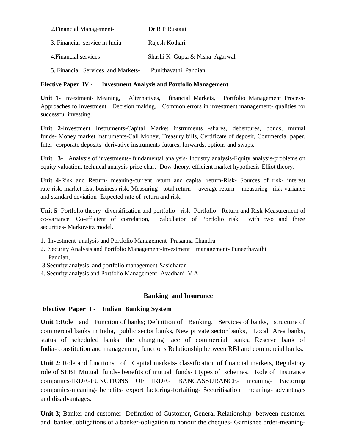| 2. Financial Management-           | Dr R P Rustagi                 |
|------------------------------------|--------------------------------|
| 3. Financial service in India-     | Rajesh Kothari                 |
| 4. Financial services $-$          | Shashi K Gupta & Nisha Agarwal |
| 5. Financial Services and Markets- | Punithavathi Pandian           |

#### **Elective Paper IV - Investment Analysis and Portfolio Management**

**Unit 1-** Investment- Meaning, Alternatives, financial Markets, Portfolio Management Process-Approaches to Investment Decision making, Common errors in investment management- qualities for successful investing.

**Unit 2**-Investment Instruments-Capital Market instruments -shares, debentures, bonds, mutual funds- Money market instruments-Call Money, Treasury bills, Certificate of deposit, Commercial paper, Inter- corporate deposits- derivative instruments-futures, forwards, options and swaps.

**Unit 3-** Analysis of investments- fundamental analysis- Industry analysis-Equity analysis-problems on equity valuation, technical analysis-price chart- Dow theory, efficient market hypothesis-Elliot theory.

**Unit 4-**Risk and Return- meaning-current return and capital return-Risk- Sources of risk- interest rate risk, market risk, business risk, Measuring total return- average return- measuring risk-variance and standard deviation- Expected rate of return and risk.

**Unit 5-** Portfolio theory- diversification and portfolio risk- Portfolio Return and Risk-Measurement of co-variance, Co-efficient of correlation, calculation of Portfolio risk with two and three securities- Markowitz model.

- 1. Investment analysis and Portfolio Management- Prasanna Chandra
- 2. Security Analysis and Portfolio Management-Investment management- Puneethavathi Pandian,
- 3.Security analysis and portfolio management-Sasidharan
- 4. Security analysis and Portfolio Management- Avadhani V A

#### **Banking and Insurance**

#### **Elective Paper I - Indian Banking System**

**Unit 1**:Role and Function of banks; Definition of Banking, Services of banks, structure of commercial banks in India, public sector banks, New private sector banks, Local Area banks, status of scheduled banks, the changing face of commercial banks, Reserve bank of India- constitution and management, functions Relationship between RBI and commercial banks.

**Unit 2**: Role and functions of Capital markets- classification of financial markets, Regulatory role of SEBI, Mutual funds- benefits of mutual funds- t types of schemes, Role of Insurance companies-IRDA-FUNCTIONS OF IRDA- BANCASSURANCE- meaning- Factoring companies-meaning- benefits- export factoring-forfaiting- Securitisation—meaning- advantages and disadvantages.

**Unit 3**; Banker and customer- Definition of Customer, General Relationship between customer and banker, obligations of a banker-obligation to honour the cheques- Garnishee order-meaning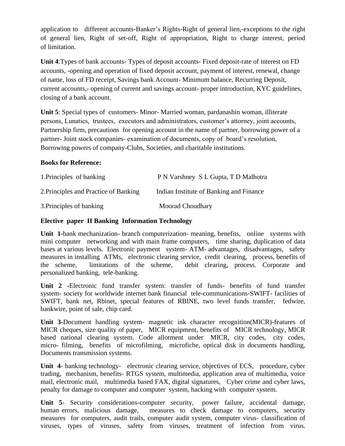application to different accounts-Banker's Rights-Right of general lien,-exceptions to the right of general lien, Right of set-off, Right of appropriation, Right to charge interest, period of limitation.

**Unit 4**:Types of bank accounts- Types of deposit accounts- Fixed deposit-rate of interest on FD accounts, -opening and operation of fixed deposit account, payment of interest, renewal, change of name, loss of FD receipt, Savings bank Account- Minimum balance, Recurring Deposit, current accounts,- opening of current and savings account- proper introduction, KYC guidelines, closing of a bank account.

**Unit 5**: Special types of customers- Minor- Married woman, pardanashin woman, illiterate persons, Lunatics, trustees, executors and administrators, customer's attorney, joint accounts, Partnership firm, precautions for opening account in the name of partner, borrowing power of a partner- Joint stock companies- examination of documents, copy of board's resolution, Borrowing powers of company-Clubs, Societies, and charitable institutions.

#### **Books for Reference:**

| 1. Principles of banking              | P N Varshney S L Gupta, T D Malhotra    |
|---------------------------------------|-----------------------------------------|
| 2. Principles and Practice of Banking | Indian Institute of Banking and Finance |
| 3. Principles of banking              | Moorad Choudhary                        |

### **Elective paper II Banking Information Technology**

**Unit 1-**bank mechanization- branch computerization- meaning, benefits, online systems with mini computer networking and with main frame computers, time sharing, duplication of data bases at various levels. Electronic payment system- ATM- advantages, disadvantages, safety measures in installing ATMs, electronic clearing service, credit clearing, process, benefits of the scheme, limitations of the scheme, debit clearing, process. Corporate and personalized banking, tele-banking.

**Unit 2 -**Electronic fund transfer system: transfer of funds- benefits of fund transfer system- society for worldwide internet bank financial tele-communications-SWIFT- facilities of SWIFT, bank net, Rbinet, special features of RBINE, two level funds transfer, fedwire, bankwire, point of sale, chip card.

**Unit 3-**Document handling system- magnetic ink character recognition(MICR)-features of MICR cheques, size quality of paper, MICR equipment, benefits of MICR technology, MICR based national clearing system. Code allotment under MICR, city codes, city codes, micro- filming, benefits of microfilming, microfiche, optical disk in documents handling, Documents transmission systems.

**Unit 4**- banking technology- electronic clearing service, objectives of ECS, procedure, cyber trading, mechanism, benefits- RTGS system, multimedia, application area of multimedia, voice mail, electronic mail, multimedia based FAX, digital signatures, Cyber crime and cyber laws, penalty for damage to computer and computer system, hacking with computer system.

**Unit 5**- Security considerations-computer security, power failure, accidental damage, human errors, malicious damage, measures to check damage to computers, security measures for computers, audit trails, computer audit system, computer virus- classification of viruses, types of viruses, safety from viruses, treatment of infection from virus.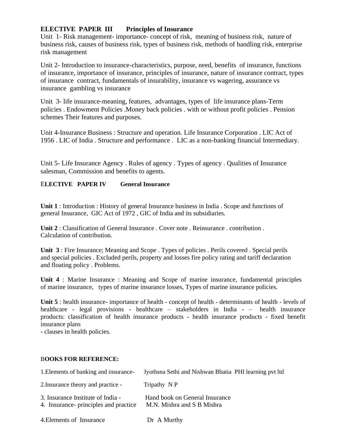### **ELECTIVE PAPER III Principles of Insurance**

Unit 1- Risk management- importance- concept of risk, meaning of business risk, nature of business risk, causes of business risk, types of business risk, methods of handling risk, enterprise risk management

Unit 2- Introduction to insurance-characteristics, purpose, need, benefits of insurance, functions of insurance, importance of insurance, principles of insurance, nature of insurance contract, types of insurance contract, fundamentals of insurability, insurance vs wagering, assurance vs insurance gambling vs insurance

Unit 3- life insurance-meaning, features, advantages, types of life insurance plans-Term policies . Endowment Policies .Money back policies . with or without profit policies . Pension schemes Their features and purposes.

Unit 4-Insurance Business : Structure and operation. Life Insurance Corporation . LIC Act of 1956 . LIC of India . Structure and performance . LIC as a non-banking financial Intermediary.

Unit 5- Life Insurance Agency . Rules of agency . Types of agency . Qualities of Insurance salesman, Commission and benefits to agents.

#### E**LECTIVE PAPER IV General Insurance**

**Unit 1** : Introduction : History of general Insurance business in India . Scope and functions of general Insurance, GIC Act of 1972 , GIC of India and its subsidiaries.

**Unit 2** : Classification of General Insurance . Cover note . Reinsurance . contribution . Calculation of contribution.

**Unit 3** : Fire Insurance; Meaning and Scope . Types of policies . Perils covered . Special perils and special policies . Excluded perils, property and losses fire policy rating and tariff declaration and floating policy . Problems.

**Unit 4** : Marine Insurance : Meaning and Scope of marine insurance, fundamental principles of marine insurance, types of marine insurance losses, Types of marine insurance policies.

**Unit 5** : health insurance- importance of health - concept of health - determinants of health - levels of healthcare - legal provisions - healthcare – stakeholders in India - – health insurance products: classification of health insurance products - health insurance products - fixed benefit insurance plans

- clauses in health policies.

#### B**OOKS FOR REFERENCE:**

| 1. Elements of banking and insurance-                                      | Jyothsna Sethi and Nishwan Bhatia PHI learning pvt ltd       |
|----------------------------------------------------------------------------|--------------------------------------------------------------|
| 2. Insurance theory and practice -                                         | Tripathy N P                                                 |
| 3. Insurance Institute of India -<br>4. Insurance- principles and practice | Hand book on General Insurance<br>M.N. Mishra and S B Mishra |
| 4. Elements of Insurance                                                   | Dr A Murthy                                                  |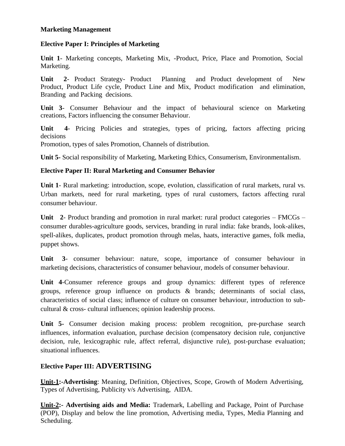### **Marketing Management**

### **Elective Paper I: Principles of Marketing**

**Unit 1**- Marketing concepts, Marketing Mix, -Product, Price, Place and Promotion, Social Marketing.

**Unit 2**- Product Strategy- Product Planning and Product development of New Product, Product Life cycle, Product Line and Mix, Product modification and elimination, Branding and Packing decisions.

**Unit 3**- Consumer Behaviour and the impact of behavioural science on Marketing creations, Factors influencing the consumer Behaviour.

**Unit 4**- Pricing Policies and strategies, types of pricing, factors affecting pricing decisions

Promotion, types of sales Promotion, Channels of distribution.

**Unit 5-** Social responsibility of Marketing, Marketing Ethics, Consumerism, Environmentalism.

# **Elective Paper II: Rural Marketing and Consumer Behavior**

**Unit 1**- Rural marketing: introduction, scope, evolution, classification of rural markets, rural vs. Urban markets, need for rural marketing, types of rural customers, factors affecting rural consumer behaviour.

**Unit 2**- Product branding and promotion in rural market: rural product categories – FMCGs – consumer durables-agriculture goods, services, branding in rural india: fake brands, look-alikes, spell-alikes, duplicates, product promotion through melas, haats, interactive games, folk media, puppet shows.

**Unit 3**- consumer behaviour: nature, scope, importance of consumer behaviour in marketing decisions, characteristics of consumer behaviour, models of consumer behaviour.

**Unit 4**-Consumer reference groups and group dynamics: different types of reference groups, reference group influence on products & brands; determinants of social class, characteristics of social class; influence of culture on consumer behaviour, introduction to subcultural & cross- cultural influences; opinion leadership process.

**Unit 5-** Consumer decision making process: problem recognition, pre-purchase search influences, information evaluation, purchase decision (compensatory decision rule, conjunctive decision, rule, lexicographic rule, affect referral, disjunctive rule), post-purchase evaluation; situational influences.

# **Elective Paper III: ADVERTISING**

**Unit-1:-Advertising**: Meaning, Definition, Objectives, Scope, Growth of Modern Advertising, Types of Advertising, Publicity v/s Advertising, AIDA.

**Unit-2:- Advertising aids and Media:** Trademark, Labelling and Package, Point of Purchase (POP), Display and below the line promotion, Advertising media, Types, Media Planning and Scheduling.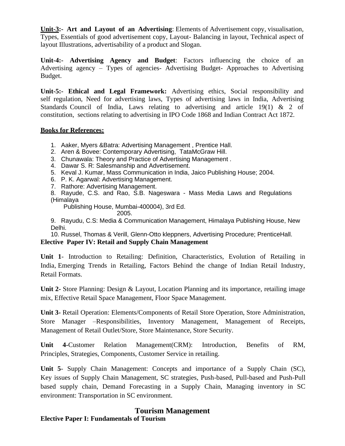**Unit-3:- Art and Layout of an Advertising**: Elements of Advertisement copy, visualisation, Types, Essentials of good advertisement copy, Layout- Balancing in layout, Technical aspect of layout Illustrations, advertisability of a product and Slogan.

**Unit-4:- Advertising Agency and Budget**: Factors influencing the choice of an Advertising agency – Types of agencies- Advertising Budget- Approaches to Advertising Budget.

**Unit-5:- Ethical and Legal Framework:** Advertising ethics, Social responsibility and self regulation, Need for advertising laws, Types of advertising laws in India, Advertising Standards Council of India, Laws relating to advertising and article 19(1) & 2 of constitution, sections relating to advertising in IPO Code 1868 and Indian Contract Act 1872.

#### **Books for References:**

- 1. Aaker, Myers &Batra: Advertising Management , Prentice Hall.
- 2. Aren & Bovee: Contemporary Advertising, TataMcGraw Hill.
- 3. Chunawala: Theory and Practice of Advertising Management .
- 4. Dawar S. R: Salesmanship and Advertisement.
- 5. Keval J. Kumar, Mass Communication in India, Jaico Publishing House; 2004.
- 6. P. K. Agarwal: Advertising Management.
- 7. Rathore: Advertising Management.
- 8. Rayude, C.S. and Rao, S.B. Nageswara Mass Media Laws and Regulations (Himalaya

Publishing House, Mumbai-400004), 3rd Ed.

2005.

9. Rayudu, C.S: Media & Communication Management, Himalaya Publishing House, New Delhi.

10. Russel, Thomas & Verill, Glenn-Otto kleppners, Advertising Procedure; PrenticeHall. **Elective Paper IV: Retail and Supply Chain Management**

**Unit 1**- Introduction to Retailing: Definition, Characteristics, Evolution of Retailing in India, Emerging Trends in Retailing, Factors Behind the change of Indian Retail Industry, Retail Formats.

**Unit 2-** Store Planning: Design & Layout, Location Planning and its importance, retailing image mix, Effective Retail Space Management, Floor Space Management.

**Unit 3-** Retail Operation: Elements/Components of Retail Store Operation, Store Administration, Store Manager –Responsibilities, Inventory Management, Management of Receipts, Management of Retail Outlet/Store, Store Maintenance, Store Security.

**Unit 4-**Customer Relation Management(CRM): Introduction, Benefits of RM, Principles, Strategies, Components, Customer Service in retailing.

**Unit 5**- Supply Chain Management: Concepts and importance of a Supply Chain (SC), Key issues of Supply Chain Management, SC strategies, Push-based, Pull-based and Push-Pull based supply chain, Demand Forecasting in a Supply Chain, Managing inventory in SC environment: Transportation in SC environment.

# **Tourism Management**

**Elective Paper I: Fundamentals of Tourism**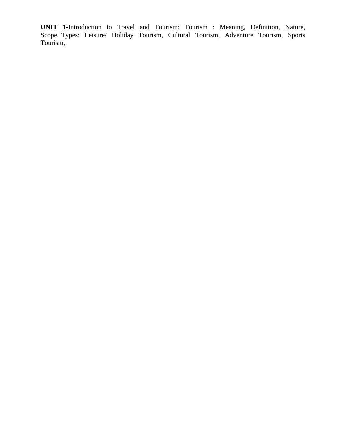**UNIT 1**-Introduction to Travel and Tourism: Tourism : Meaning, Definition, Nature, Scope, Types: Leisure/ Holiday Tourism, Cultural Tourism, Adventure Tourism, Sports Tourism,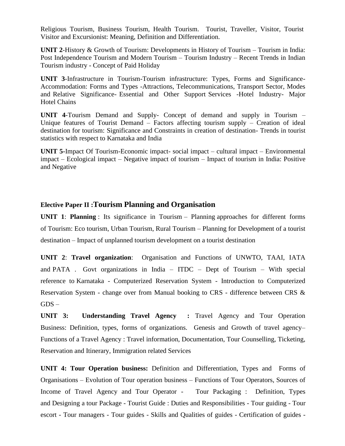Religious Tourism, Business Tourism, Health Tourism. Tourist, Traveller, Visitor, Tourist Visitor and Excursionist: Meaning, Definition and Differentiation.

**UNIT 2**-History & Growth of Tourism: Developments in History of Tourism – Tourism in India: Post Independence Tourism and Modern Tourism – Tourism Industry – Recent Trends in Indian Tourism industry - Concept of Paid Holiday

**UNIT 3**-Infrastructure in Tourism-Tourism infrastructure: Types, Forms and Significance-Accommodation: Forms and Types -Attractions, Telecommunications, Transport Sector, Modes and Relative Significance- Essential and Other Support Services -Hotel Industry- Major Hotel Chains

**UNIT 4**-Tourism Demand and Supply- Concept of demand and supply in Tourism – Unique features of Tourist Demand – Factors affecting tourism supply – Creation of ideal destination for tourism: Significance and Constraints in creation of destination- Trends in tourist statistics with respect to Karnataka and India

**UNIT 5-**Impact Of Tourism-Economic impact- social impact – cultural impact – Environmental impact – Ecological impact – Negative impact of tourism – Impact of tourism in India: Positive and Negative

# **Elective Paper II :Tourism Planning and Organisation**

**UNIT 1**: **Planning** : Its significance in Tourism – Planning approaches for different forms of Tourism: Eco tourism, Urban Tourism, Rural Tourism – Planning for Development of a tourist destination – Impact of unplanned tourism development on a tourist destination

**UNIT 2**: **Travel organization**: Organisation and Functions of UNWTO, TAAI, IATA and PATA . Govt organizations in India – ITDC – Dept of Tourism – With special reference to Karnataka - Computerized Reservation System - Introduction to Computerized Reservation System - change over from Manual booking to CRS - difference between CRS &  $GDS -$ 

**UNIT 3: Understanding Travel Agency :** Travel Agency and Tour Operation Business: Definition, types, forms of organizations. Genesis and Growth of travel agency– Functions of a Travel Agency : Travel information, Documentation, Tour Counselling, Ticketing, Reservation and Itinerary, Immigration related Services

**UNIT 4: Tour Operation business:** Definition and Differentiation, Types and Forms of Organisations – Evolution of Tour operation business – Functions of Tour Operators, Sources of Income of Travel Agency and Tour Operator - Tour Packaging : Definition, Types and Designing a tour Package - Tourist Guide : Duties and Responsibilities - Tour guiding - Tour escort - Tour managers - Tour guides - Skills and Qualities of guides - Certification of guides -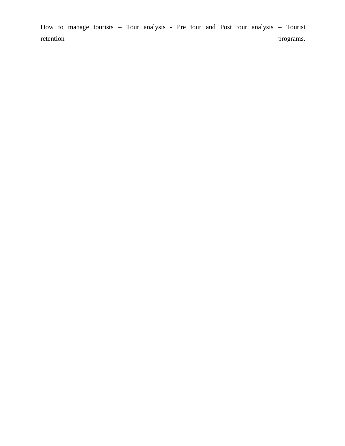How to manage tourists – Tour analysis - Pre tour and Post tour analysis – Tourist retention programs.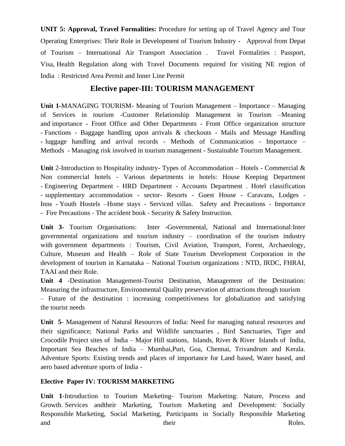**UNIT 5: Approval, Travel Formalities:** Procedure for setting up of Travel Agency and Tour Operating Enterprises: Their Role in Development of Tourism Industry - Approval from Depat of Tourism – International Air Transport Association . Travel Formalities : Passport, Visa, Health Regulation along with Travel Documents required for visiting NE region of India : Restricted Area Permit and Inner Line Permit

# **Elective paper-III: TOURISM MANAGEMENT**

**Unit 1-**MANAGING TOURISM- Meaning of Tourism Management – Importance – Managing of Services in tourism -Customer Relationship Management in Tourism –Meaning and importance - Front Office and Other Departments - Front Office organization structure - Functions - Baggage handling upon arrivals & checkouts - Mails and Message Handling - luggage handling and arrival records - Methods of Communication - Importance – Methods - Managing risk involved in tourism management - Sustainable Tourism Management.

**Unit** 2-Introduction to Hospitality industry- Types of Accommodation – Hotels - Commercial & Non commercial hotels - Various departments in hotels: House Keeping Department - Engineering Department - HRD Department - Accounts Department . Hotel classification - supplementary accommodation - sector- Resorts - Guest House - Caravans, Lodges - Inns - Youth Hostels –Home stays - Serviced villas. Safety and Precautions - Importance - Fire Precautions - The accident book - Security & Safety Instruction.

**Unit 3-** Tourism Organisations: Inter -Governmental, National and International:Inter governmental organizations and tourism industry – coordination of the tourism industry with government departments : Tourism, Civil Aviation, Transport, Forest, Archaeology, Culture, Museum and Health – Role of State Tourism Development Corporation in the development of tourism in Karnataka – National Tourism organizations : NTD, IRDC, FHRAI, TAAI and their Role.

**Unit 4** -Destination Management-Tourist Destination, Management of the Destination: Measuring the infrastructure, Environmental Quality preservation of attractions through tourism – Future of the destination : increasing competitiveness for globalization and satisfying the tourist needs

**Unit 5**- Management of Natural Resources of India: Need for managing natural resources and their significance; National Parks and Wildlife sanctuaries , Bird Sanctuaries, Tiger and Crocodile Project sites of India – Major Hill stations, Islands, River & River Islands of India, Important Sea Beaches of India – Mumbai,Puri, Goa, Chennai, Trivandrum and Kerala. Adventure Sports: Existing trends and places of importance for Land based, Water based, and aero based adventure sports of India -

# **Elective Paper IV: TOURISM MARKETING**

**Unit 1**-Introduction to Tourism Marketing- Tourism Marketing: Nature, Process and Growth. Services andtheir Marketing, Tourism Marketing and Development: Socially Responsible Marketing, Social Marketing, Participants in Socially Responsible Marketing and their Roles.